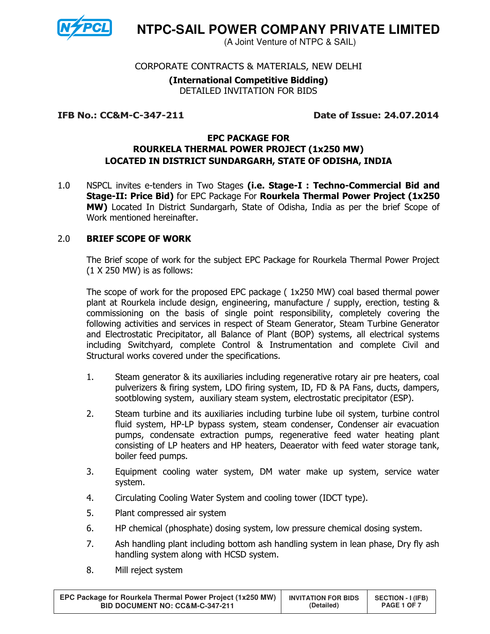

**NTPC-SAIL POWER COMPANY PRIVATE LIMITED** 

(A Joint Venture of NTPC & SAIL)

# CORPORATE CONTRACTS & MATERIALS, NEW DELHI

## (International Competitive Bidding) DETAILED INVITATION FOR BIDS

#### IFB No.: CC&M-C-347-211 Date of Issue: 24.07.2014

## EPC PACKAGE FOR ROURKELA THERMAL POWER PROJECT (1x250 MW) LOCATED IN DISTRICT SUNDARGARH, STATE OF ODISHA, INDIA

1.0 NSPCL invites e-tenders in Two Stages (i.e. Stage-I: Techno-Commercial Bid and Stage-II: Price Bid) for EPC Package For Rourkela Thermal Power Project (1x250 MW) Located In District Sundargarh, State of Odisha, India as per the brief Scope of Work mentioned hereinafter.

# 2.0 BRIEF SCOPE OF WORK

The Brief scope of work for the subject EPC Package for Rourkela Thermal Power Project (1 X 250 MW) is as follows:

The scope of work for the proposed EPC package ( 1x250 MW) coal based thermal power plant at Rourkela include design, engineering, manufacture / supply, erection, testing & commissioning on the basis of single point responsibility, completely covering the following activities and services in respect of Steam Generator, Steam Turbine Generator and Electrostatic Precipitator, all Balance of Plant (BOP) systems, all electrical systems including Switchyard, complete Control & Instrumentation and complete Civil and Structural works covered under the specifications.

- 1. Steam generator & its auxiliaries including regenerative rotary air pre heaters, coal pulverizers & firing system, LDO firing system, ID, FD & PA Fans, ducts, dampers, sootblowing system, auxiliary steam system, electrostatic precipitator (ESP).
- 2. Steam turbine and its auxiliaries including turbine lube oil system, turbine control fluid system, HP-LP bypass system, steam condenser, Condenser air evacuation pumps, condensate extraction pumps, regenerative feed water heating plant consisting of LP heaters and HP heaters, Deaerator with feed water storage tank, boiler feed pumps.
- 3. Equipment cooling water system, DM water make up system, service water system.
- 4. Circulating Cooling Water System and cooling tower (IDCT type).
- 5. Plant compressed air system
- 6. HP chemical (phosphate) dosing system, low pressure chemical dosing system.
- 7. Ash handling plant including bottom ash handling system in lean phase, Dry fly ash handling system along with HCSD system.
- 8. Mill reject system

| EPC Package for Rourkela Thermal Power Project (1x250 MW) | <b>INVITATION FOR BIDS</b> | <b>SECTION - I (IFB)</b> |  |
|-----------------------------------------------------------|----------------------------|--------------------------|--|
| <b>BID DOCUMENT NO: CC&amp;M-C-347-211</b>                | (Detailed)                 | PAGE 1 OF 7              |  |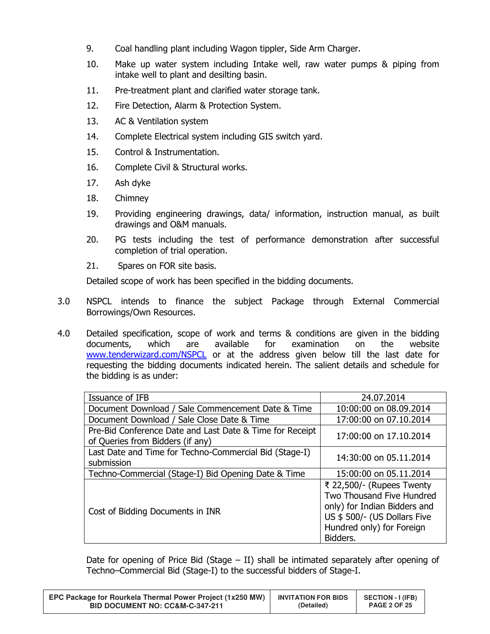- 9. Coal handling plant including Wagon tippler, Side Arm Charger.
- 10. Make up water system including Intake well, raw water pumps & piping from intake well to plant and desilting basin.
- 11. Pre-treatment plant and clarified water storage tank.
- 12. Fire Detection, Alarm & Protection System.
- 13. AC & Ventilation system
- 14. Complete Electrical system including GIS switch yard.
- 15. Control & Instrumentation.
- 16. Complete Civil & Structural works.
- 17. Ash dyke
- 18. Chimney
- 19. Providing engineering drawings, data/ information, instruction manual, as built drawings and O&M manuals.
- 20. PG tests including the test of performance demonstration after successful completion of trial operation.
- 21. Spares on FOR site basis.

Detailed scope of work has been specified in the bidding documents.

- 3.0 NSPCL intends to finance the subject Package through External Commercial Borrowings/Own Resources.
- 4.0 Detailed specification, scope of work and terms & conditions are given in the bidding documents, which are available for examination on the website www.tenderwizard.com/NSPCL or at the address given below till the last date for requesting the bidding documents indicated herein. The salient details and schedule for the bidding is as under:

| Issuance of IFB                                                                              | 24.07.2014                                                                                                                                                      |
|----------------------------------------------------------------------------------------------|-----------------------------------------------------------------------------------------------------------------------------------------------------------------|
| Document Download / Sale Commencement Date & Time                                            | 10:00:00 on 08.09.2014                                                                                                                                          |
| Document Download / Sale Close Date & Time                                                   | 17:00:00 on 07.10.2014                                                                                                                                          |
| Pre-Bid Conference Date and Last Date & Time for Receipt<br>of Queries from Bidders (if any) | 17:00:00 on 17.10.2014                                                                                                                                          |
| Last Date and Time for Techno-Commercial Bid (Stage-I)<br>submission                         | 14:30:00 on 05.11.2014                                                                                                                                          |
| Techno-Commercial (Stage-I) Bid Opening Date & Time                                          | 15:00:00 on 05.11.2014                                                                                                                                          |
| Cost of Bidding Documents in INR                                                             | ₹ 22,500/- (Rupees Twenty<br>Two Thousand Five Hundred<br>only) for Indian Bidders and<br>US \$ 500/- (US Dollars Five<br>Hundred only) for Foreign<br>Bidders. |

Date for opening of Price Bid (Stage  $-$  II) shall be intimated separately after opening of Techno–Commercial Bid (Stage-I) to the successful bidders of Stage-I.

| EPC Package for Rourkela Thermal Power Project (1x250 MW) | <b>INVITATION FOR BIDS</b> | <b>SECTION - I (IFB)</b> |
|-----------------------------------------------------------|----------------------------|--------------------------|
| <b>BID DOCUMENT NO: CC&amp;M-C-347-211</b>                | (Detailed)                 | <b>PAGE 2 OF 25</b>      |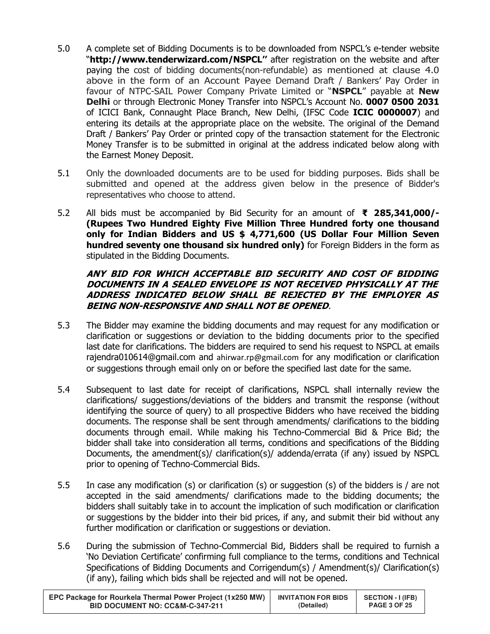- 5.0 A complete set of Bidding Documents is to be downloaded from NSPCL's e-tender website "http://www.tenderwizard.com/NSPCL" after registration on the website and after paying the cost of bidding documents(non-refundable) as mentioned at clause 4.0 above in the form of an Account Payee Demand Draft / Bankers' Pay Order in favour of NTPC-SAIL Power Company Private Limited or "NSPCL" payable at New Delhi or through Electronic Money Transfer into NSPCL's Account No. 0007 0500 2031 of ICICI Bank, Connaught Place Branch, New Delhi, (IFSC Code ICIC 0000007) and entering its details at the appropriate place on the website. The original of the Demand Draft / Bankers' Pay Order or printed copy of the transaction statement for the Electronic Money Transfer is to be submitted in original at the address indicated below along with the Earnest Money Deposit.
- 5.1 Only the downloaded documents are to be used for bidding purposes. Bids shall be submitted and opened at the address given below in the presence of Bidder's representatives who choose to attend.
- 5.2 All bids must be accompanied by Bid Security for an amount of  $\overline{\mathbf{z}}$  285,341,000/-(Rupees Two Hundred Eighty Five Million Three Hundred forty one thousand only for Indian Bidders and US \$ 4,771,600 (US Dollar Four Million Seven hundred seventy one thousand six hundred only) for Foreign Bidders in the form as stipulated in the Bidding Documents.

# ANY BID FOR WHICH ACCEPTABLE BID SECURITY AND COST OF BIDDING DOCUMENTS IN A SEALED ENVELOPE IS NOT RECEIVED PHYSICALLY AT THE ADDRESS INDICATED BELOW SHALL BE REJECTED BY THE EMPLOYER AS BEING NON-RESPONSIVE AND SHALL NOT BE OPENED.

- 5.3 The Bidder may examine the bidding documents and may request for any modification or clarification or suggestions or deviation to the bidding documents prior to the specified last date for clarifications. The bidders are required to send his request to NSPCL at emails rajendra010614@gmail.com and ahirwar.rp@gmail.com for any modification or clarification or suggestions through email only on or before the specified last date for the same.
- 5.4 Subsequent to last date for receipt of clarifications, NSPCL shall internally review the clarifications/ suggestions/deviations of the bidders and transmit the response (without identifying the source of query) to all prospective Bidders who have received the bidding documents. The response shall be sent through amendments/ clarifications to the bidding documents through email. While making his Techno-Commercial Bid & Price Bid; the bidder shall take into consideration all terms, conditions and specifications of the Bidding Documents, the amendment(s)/ clarification(s)/ addenda/errata (if any) issued by NSPCL prior to opening of Techno-Commercial Bids.
- 5.5 In case any modification (s) or clarification (s) or suggestion (s) of the bidders is / are not accepted in the said amendments/ clarifications made to the bidding documents; the bidders shall suitably take in to account the implication of such modification or clarification or suggestions by the bidder into their bid prices, if any, and submit their bid without any further modification or clarification or suggestions or deviation.
- 5.6 During the submission of Techno-Commercial Bid, Bidders shall be required to furnish a 'No Deviation Certificate' confirming full compliance to the terms, conditions and Technical Specifications of Bidding Documents and Corrigendum(s) / Amendment(s)/ Clarification(s) (if any), failing which bids shall be rejected and will not be opened.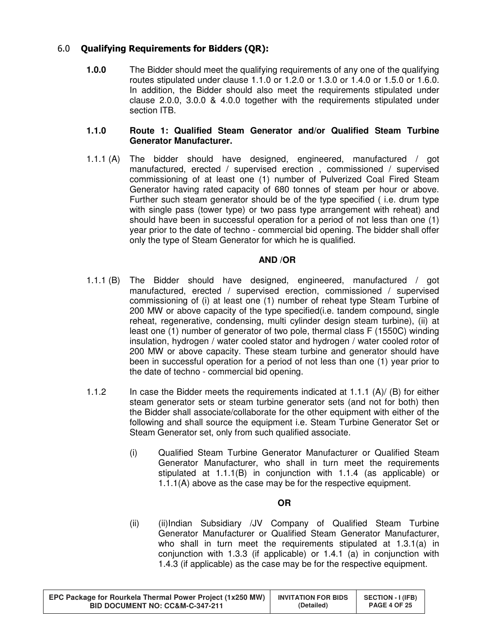# 6.0 Qualifying Requirements for Bidders (QR):

**1.0.0** The Bidder should meet the qualifying requirements of any one of the qualifying routes stipulated under clause 1.1.0 or 1.2.0 or 1.3.0 or 1.4.0 or 1.5.0 or 1.6.0. In addition, the Bidder should also meet the requirements stipulated under clause 2.0.0, 3.0.0 & 4.0.0 together with the requirements stipulated under section ITB.

#### **1.1.0 Route 1: Qualified Steam Generator and/or Qualified Steam Turbine Generator Manufacturer.**

1.1.1 (A) The bidder should have designed, engineered, manufactured / got manufactured, erected / supervised erection , commissioned / supervised commissioning of at least one (1) number of Pulverized Coal Fired Steam Generator having rated capacity of 680 tonnes of steam per hour or above. Further such steam generator should be of the type specified ( i.e. drum type with single pass (tower type) or two pass type arrangement with reheat) and should have been in successful operation for a period of not less than one (1) year prior to the date of techno - commercial bid opening. The bidder shall offer only the type of Steam Generator for which he is qualified.

## **AND /OR**

- 1.1.1 (B) The Bidder should have designed, engineered, manufactured / got manufactured, erected / supervised erection, commissioned / supervised commissioning of (i) at least one (1) number of reheat type Steam Turbine of 200 MW or above capacity of the type specified(i.e. tandem compound, single reheat, regenerative, condensing, multi cylinder design steam turbine), (ii) at least one (1) number of generator of two pole, thermal class F (1550C) winding insulation, hydrogen / water cooled stator and hydrogen / water cooled rotor of 200 MW or above capacity. These steam turbine and generator should have been in successful operation for a period of not less than one (1) year prior to the date of techno - commercial bid opening.
- 1.1.2 In case the Bidder meets the requirements indicated at 1.1.1 (A)/ (B) for either steam generator sets or steam turbine generator sets (and not for both) then the Bidder shall associate/collaborate for the other equipment with either of the following and shall source the equipment i.e. Steam Turbine Generator Set or Steam Generator set, only from such qualified associate.
	- (i) Qualified Steam Turbine Generator Manufacturer or Qualified Steam Generator Manufacturer, who shall in turn meet the requirements stipulated at 1.1.1(B) in conjunction with 1.1.4 (as applicable) or 1.1.1(A) above as the case may be for the respective equipment.

## **OR**

(ii) (ii)Indian Subsidiary /JV Company of Qualified Steam Turbine Generator Manufacturer or Qualified Steam Generator Manufacturer, who shall in turn meet the requirements stipulated at 1.3.1(a) in conjunction with 1.3.3 (if applicable) or 1.4.1 (a) in conjunction with 1.4.3 (if applicable) as the case may be for the respective equipment.

| EPC Package for Rourkela Thermal Power Project (1x250 MW) | <b>INVITATION FOR BIDS</b> | <b>SECTION - I (IFB)</b> |
|-----------------------------------------------------------|----------------------------|--------------------------|
| <b>BID DOCUMENT NO: CC&amp;M-C-347-211</b>                | (Detailed)                 | <b>PAGE 4 OF 25</b>      |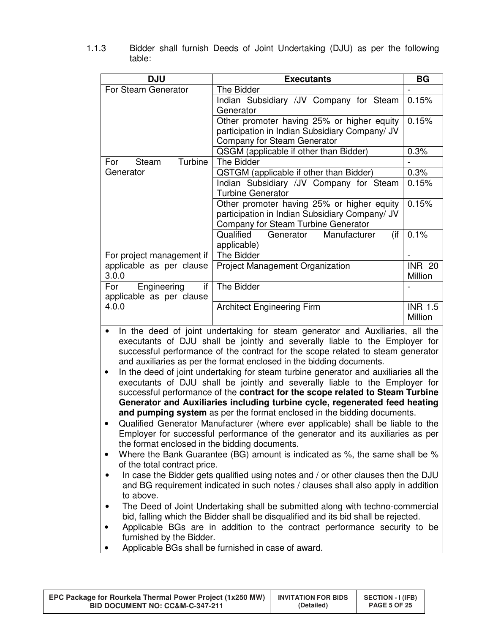| <b>DJU</b>                                                                                                                                                                                                                                                                                                                                                                                                                                                                                                                                                                                                                                                                                                                                                                                                                                                                                                                                                                                                                                                                                                                                                                                                                                                                                                    | <b>Executants</b>                                                                                                                                                                                                                                | <b>BG</b>      |
|---------------------------------------------------------------------------------------------------------------------------------------------------------------------------------------------------------------------------------------------------------------------------------------------------------------------------------------------------------------------------------------------------------------------------------------------------------------------------------------------------------------------------------------------------------------------------------------------------------------------------------------------------------------------------------------------------------------------------------------------------------------------------------------------------------------------------------------------------------------------------------------------------------------------------------------------------------------------------------------------------------------------------------------------------------------------------------------------------------------------------------------------------------------------------------------------------------------------------------------------------------------------------------------------------------------|--------------------------------------------------------------------------------------------------------------------------------------------------------------------------------------------------------------------------------------------------|----------------|
| For Steam Generator                                                                                                                                                                                                                                                                                                                                                                                                                                                                                                                                                                                                                                                                                                                                                                                                                                                                                                                                                                                                                                                                                                                                                                                                                                                                                           | The Bidder                                                                                                                                                                                                                                       |                |
|                                                                                                                                                                                                                                                                                                                                                                                                                                                                                                                                                                                                                                                                                                                                                                                                                                                                                                                                                                                                                                                                                                                                                                                                                                                                                                               | Indian Subsidiary / JV Company for Steam<br>Generator                                                                                                                                                                                            | 0.15%          |
|                                                                                                                                                                                                                                                                                                                                                                                                                                                                                                                                                                                                                                                                                                                                                                                                                                                                                                                                                                                                                                                                                                                                                                                                                                                                                                               | Other promoter having 25% or higher equity                                                                                                                                                                                                       | 0.15%          |
|                                                                                                                                                                                                                                                                                                                                                                                                                                                                                                                                                                                                                                                                                                                                                                                                                                                                                                                                                                                                                                                                                                                                                                                                                                                                                                               | participation in Indian Subsidiary Company/ JV                                                                                                                                                                                                   |                |
|                                                                                                                                                                                                                                                                                                                                                                                                                                                                                                                                                                                                                                                                                                                                                                                                                                                                                                                                                                                                                                                                                                                                                                                                                                                                                                               | Company for Steam Generator                                                                                                                                                                                                                      |                |
|                                                                                                                                                                                                                                                                                                                                                                                                                                                                                                                                                                                                                                                                                                                                                                                                                                                                                                                                                                                                                                                                                                                                                                                                                                                                                                               | QSGM (applicable if other than Bidder)                                                                                                                                                                                                           | 0.3%           |
| Turbine<br>Steam<br>For                                                                                                                                                                                                                                                                                                                                                                                                                                                                                                                                                                                                                                                                                                                                                                                                                                                                                                                                                                                                                                                                                                                                                                                                                                                                                       | The Bidder                                                                                                                                                                                                                                       |                |
| Generator                                                                                                                                                                                                                                                                                                                                                                                                                                                                                                                                                                                                                                                                                                                                                                                                                                                                                                                                                                                                                                                                                                                                                                                                                                                                                                     | QSTGM (applicable if other than Bidder)                                                                                                                                                                                                          | 0.3%           |
|                                                                                                                                                                                                                                                                                                                                                                                                                                                                                                                                                                                                                                                                                                                                                                                                                                                                                                                                                                                                                                                                                                                                                                                                                                                                                                               | Indian Subsidiary /JV Company for Steam                                                                                                                                                                                                          | 0.15%          |
|                                                                                                                                                                                                                                                                                                                                                                                                                                                                                                                                                                                                                                                                                                                                                                                                                                                                                                                                                                                                                                                                                                                                                                                                                                                                                                               | <b>Turbine Generator</b>                                                                                                                                                                                                                         |                |
|                                                                                                                                                                                                                                                                                                                                                                                                                                                                                                                                                                                                                                                                                                                                                                                                                                                                                                                                                                                                                                                                                                                                                                                                                                                                                                               | Other promoter having 25% or higher equity                                                                                                                                                                                                       | 0.15%          |
|                                                                                                                                                                                                                                                                                                                                                                                                                                                                                                                                                                                                                                                                                                                                                                                                                                                                                                                                                                                                                                                                                                                                                                                                                                                                                                               | participation in Indian Subsidiary Company/ JV<br>Company for Steam Turbine Generator                                                                                                                                                            |                |
|                                                                                                                                                                                                                                                                                                                                                                                                                                                                                                                                                                                                                                                                                                                                                                                                                                                                                                                                                                                                                                                                                                                                                                                                                                                                                                               | Qualified<br>Generator<br>Manufacturer                                                                                                                                                                                                           | 0.1%           |
|                                                                                                                                                                                                                                                                                                                                                                                                                                                                                                                                                                                                                                                                                                                                                                                                                                                                                                                                                                                                                                                                                                                                                                                                                                                                                                               | (if<br>applicable)                                                                                                                                                                                                                               |                |
| For project management if                                                                                                                                                                                                                                                                                                                                                                                                                                                                                                                                                                                                                                                                                                                                                                                                                                                                                                                                                                                                                                                                                                                                                                                                                                                                                     | The Bidder                                                                                                                                                                                                                                       |                |
| applicable as per clause                                                                                                                                                                                                                                                                                                                                                                                                                                                                                                                                                                                                                                                                                                                                                                                                                                                                                                                                                                                                                                                                                                                                                                                                                                                                                      | Project Management Organization                                                                                                                                                                                                                  | <b>INR 20</b>  |
| 3.0.0<br>For<br>if                                                                                                                                                                                                                                                                                                                                                                                                                                                                                                                                                                                                                                                                                                                                                                                                                                                                                                                                                                                                                                                                                                                                                                                                                                                                                            | The Bidder                                                                                                                                                                                                                                       | Million        |
| Engineering<br>applicable as per clause                                                                                                                                                                                                                                                                                                                                                                                                                                                                                                                                                                                                                                                                                                                                                                                                                                                                                                                                                                                                                                                                                                                                                                                                                                                                       |                                                                                                                                                                                                                                                  |                |
| 4.0.0                                                                                                                                                                                                                                                                                                                                                                                                                                                                                                                                                                                                                                                                                                                                                                                                                                                                                                                                                                                                                                                                                                                                                                                                                                                                                                         | <b>Architect Engineering Firm</b>                                                                                                                                                                                                                | <b>INR 1.5</b> |
|                                                                                                                                                                                                                                                                                                                                                                                                                                                                                                                                                                                                                                                                                                                                                                                                                                                                                                                                                                                                                                                                                                                                                                                                                                                                                                               |                                                                                                                                                                                                                                                  | Million        |
| In the deed of joint undertaking for steam generator and Auxiliaries, all the<br>$\bullet$<br>executants of DJU shall be jointly and severally liable to the Employer for<br>successful performance of the contract for the scope related to steam generator<br>and auxiliaries as per the format enclosed in the bidding documents.<br>In the deed of joint undertaking for steam turbine generator and auxiliaries all the<br>$\bullet$<br>executants of DJU shall be jointly and severally liable to the Employer for<br>successful performance of the contract for the scope related to Steam Turbine<br>Generator and Auxiliaries including turbine cycle, regenerated feed heating<br>and pumping system as per the format enclosed in the bidding documents.<br>Qualified Generator Manufacturer (where ever applicable) shall be liable to the<br>Employer for successful performance of the generator and its auxiliaries as per<br>the format enclosed in the bidding documents.<br>Where the Bank Guarantee (BG) amount is indicated as %, the same shall be %<br>$\bullet$<br>of the total contract price.<br>In case the Bidder gets qualified using notes and / or other clauses then the DJU<br>and BG requirement indicated in such notes / clauses shall also apply in addition<br>to above. |                                                                                                                                                                                                                                                  |                |
| furnished by the Bidder.                                                                                                                                                                                                                                                                                                                                                                                                                                                                                                                                                                                                                                                                                                                                                                                                                                                                                                                                                                                                                                                                                                                                                                                                                                                                                      | The Deed of Joint Undertaking shall be submitted along with techno-commercial<br>bid, falling which the Bidder shall be disqualified and its bid shall be rejected.<br>Applicable BGs are in addition to the contract performance security to be |                |

1.1.3 Bidder shall furnish Deeds of Joint Undertaking (DJU) as per the following table:

• Applicable BGs shall be furnished in case of award.

| EPC Package for Rourkela Thermal Power Project (1x250 MW) | <b>INVITATION FOR BIDS</b> | <b>SECTION - I (IFB)</b> |
|-----------------------------------------------------------|----------------------------|--------------------------|
| <b>BID DOCUMENT NO: CC&amp;M-C-347-211</b>                | (Detailed)                 | <b>PAGE 5 OF 25</b>      |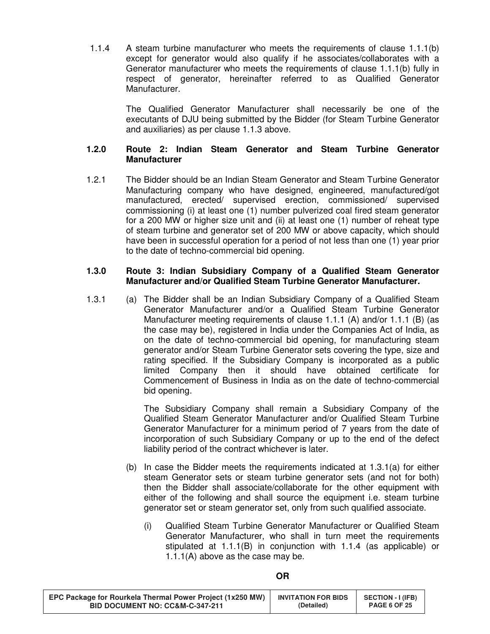1.1.4 A steam turbine manufacturer who meets the requirements of clause 1.1.1(b) except for generator would also qualify if he associates/collaborates with a Generator manufacturer who meets the requirements of clause 1.1.1(b) fully in respect of generator, hereinafter referred to as Qualified Generator Manufacturer.

> The Qualified Generator Manufacturer shall necessarily be one of the executants of DJU being submitted by the Bidder (for Steam Turbine Generator and auxiliaries) as per clause 1.1.3 above.

## **1.2.0 Route 2: Indian Steam Generator and Steam Turbine Generator Manufacturer**

1.2.1 The Bidder should be an Indian Steam Generator and Steam Turbine Generator Manufacturing company who have designed, engineered, manufactured/got manufactured, erected/ supervised erection, commissioned/ supervised commissioning (i) at least one (1) number pulverized coal fired steam generator for a 200 MW or higher size unit and (ii) at least one (1) number of reheat type of steam turbine and generator set of 200 MW or above capacity, which should have been in successful operation for a period of not less than one (1) year prior to the date of techno-commercial bid opening.

#### **1.3.0 Route 3: Indian Subsidiary Company of a Qualified Steam Generator Manufacturer and/or Qualified Steam Turbine Generator Manufacturer.**

1.3.1 (a) The Bidder shall be an Indian Subsidiary Company of a Qualified Steam Generator Manufacturer and/or a Qualified Steam Turbine Generator Manufacturer meeting requirements of clause 1.1.1 (A) and/or 1.1.1 (B) (as the case may be), registered in India under the Companies Act of India, as on the date of techno-commercial bid opening, for manufacturing steam generator and/or Steam Turbine Generator sets covering the type, size and rating specified. If the Subsidiary Company is incorporated as a public limited Company then it should have obtained certificate for Commencement of Business in India as on the date of techno-commercial bid opening.

> The Subsidiary Company shall remain a Subsidiary Company of the Qualified Steam Generator Manufacturer and/or Qualified Steam Turbine Generator Manufacturer for a minimum period of 7 years from the date of incorporation of such Subsidiary Company or up to the end of the defect liability period of the contract whichever is later.

- (b) In case the Bidder meets the requirements indicated at 1.3.1(a) for either steam Generator sets or steam turbine generator sets (and not for both) then the Bidder shall associate/collaborate for the other equipment with either of the following and shall source the equipment i.e. steam turbine generator set or steam generator set, only from such qualified associate.
	- (i) Qualified Steam Turbine Generator Manufacturer or Qualified Steam Generator Manufacturer, who shall in turn meet the requirements stipulated at 1.1.1(B) in conjunction with 1.1.4 (as applicable) or 1.1.1(A) above as the case may be.

| EPC Package for Rourkela Thermal Power Project (1x250 MW) | <b>INVITATION FOR BIDS</b> | <b>SECTION - I (IFB)</b> |
|-----------------------------------------------------------|----------------------------|--------------------------|
| <b>BID DOCUMENT NO: CC&amp;M-C-347-211</b>                | (Detailed)                 | <b>PAGE 6 OF 25</b>      |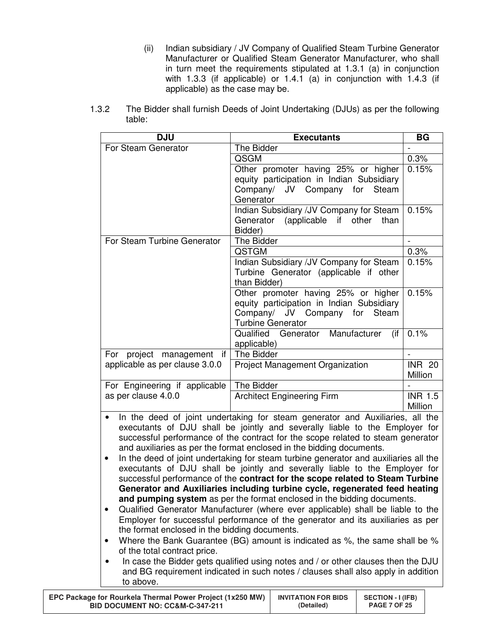- (ii) Indian subsidiary / JV Company of Qualified Steam Turbine Generator Manufacturer or Qualified Steam Generator Manufacturer, who shall in turn meet the requirements stipulated at 1.3.1 (a) in conjunction with 1.3.3 (if applicable) or 1.4.1 (a) in conjunction with 1.4.3 (if applicable) as the case may be.
- 1.3.2 The Bidder shall furnish Deeds of Joint Undertaking (DJUs) as per the following table:

| <b>DJU</b>                                                                                                                                                   | <b>Executants</b>                         | <b>BG</b>      |  |
|--------------------------------------------------------------------------------------------------------------------------------------------------------------|-------------------------------------------|----------------|--|
| For Steam Generator                                                                                                                                          | The Bidder                                |                |  |
|                                                                                                                                                              | QSGM                                      | 0.3%           |  |
|                                                                                                                                                              | Other promoter having 25% or higher       | 0.15%          |  |
|                                                                                                                                                              | equity participation in Indian Subsidiary |                |  |
|                                                                                                                                                              | Company/ JV Company for<br>Steam          |                |  |
|                                                                                                                                                              | Generator                                 |                |  |
|                                                                                                                                                              | Indian Subsidiary / JV Company for Steam  | 0.15%          |  |
|                                                                                                                                                              | (applicable if other<br>Generator<br>than |                |  |
|                                                                                                                                                              | Bidder)                                   |                |  |
| For Steam Turbine Generator                                                                                                                                  | The Bidder                                |                |  |
|                                                                                                                                                              | QSTGM                                     | 0.3%           |  |
|                                                                                                                                                              | Indian Subsidiary /JV Company for Steam   | 0.15%          |  |
|                                                                                                                                                              | Turbine Generator (applicable if other    |                |  |
|                                                                                                                                                              | than Bidder)                              |                |  |
|                                                                                                                                                              | Other promoter having 25% or higher       | 0.15%          |  |
|                                                                                                                                                              | equity participation in Indian Subsidiary |                |  |
|                                                                                                                                                              | Company/ JV Company for<br>Steam          |                |  |
|                                                                                                                                                              | <b>Turbine Generator</b>                  |                |  |
|                                                                                                                                                              | Qualified Generator Manufacturer<br>(if)  | 0.1%           |  |
|                                                                                                                                                              | applicable)                               |                |  |
| For project management<br>if I                                                                                                                               | The Bidder                                |                |  |
| applicable as per clause 3.0.0                                                                                                                               | Project Management Organization           | <b>INR 20</b>  |  |
|                                                                                                                                                              |                                           | Million        |  |
| For Engineering if applicable                                                                                                                                | The Bidder                                | <b>INR 1.5</b> |  |
| as per clause 4.0.0                                                                                                                                          | <b>Architect Engineering Firm</b>         | Million        |  |
| $\bullet$                                                                                                                                                    |                                           |                |  |
| In the deed of joint undertaking for steam generator and Auxiliaries, all the<br>executants of DJU shall be jointly and severally liable to the Employer for |                                           |                |  |
| successful performance of the contract for the scope related to steam generator                                                                              |                                           |                |  |
| and auxiliaries as per the format enclosed in the bidding documents.                                                                                         |                                           |                |  |
|                                                                                                                                                              |                                           |                |  |

- In the deed of joint undertaking for steam turbine generator and auxiliaries all the executants of DJU shall be jointly and severally liable to the Employer for successful performance of the **contract for the scope related to Steam Turbine Generator and Auxiliaries including turbine cycle, regenerated feed heating and pumping system** as per the format enclosed in the bidding documents.
- Qualified Generator Manufacturer (where ever applicable) shall be liable to the Employer for successful performance of the generator and its auxiliaries as per the format enclosed in the bidding documents.
- Where the Bank Guarantee (BG) amount is indicated as %, the same shall be % of the total contract price.
- In case the Bidder gets qualified using notes and / or other clauses then the DJU and BG requirement indicated in such notes / clauses shall also apply in addition to above.

| EPC Package for Rourkela Thermal Power Project (1x250 MW) | <b>INVITATION FOR BIDS</b> | <b>SECTION - I (IFB)</b> |
|-----------------------------------------------------------|----------------------------|--------------------------|
| <b>BID DOCUMENT NO: CC&amp;M-C-347-211</b>                | (Detailed)                 | <b>PAGE 7 OF 25</b>      |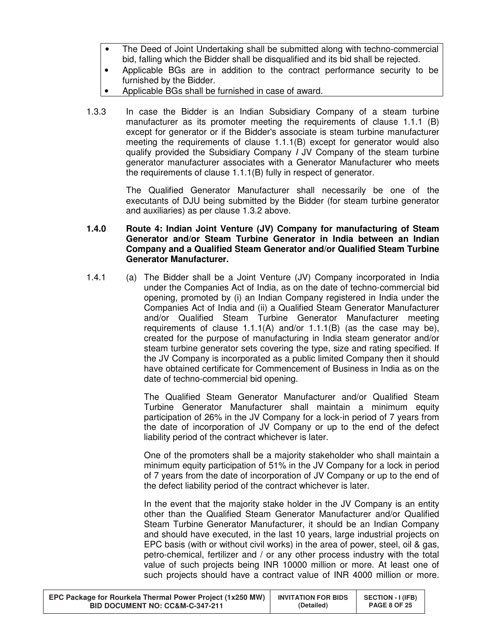- The Deed of Joint Undertaking shall be submitted along with techno-commercial bid, falling which the Bidder shall be disqualified and its bid shall be rejected.
- Applicable BGs are in addition to the contract performance security to be furnished by the Bidder.
- Applicable BGs shall be furnished in case of award.
- 1.3.3 In case the Bidder is an Indian Subsidiary Company of a steam turbine manufacturer as its promoter meeting the requirements of clause 1.1.1 (B) except for generator or if the Bidder's associate is steam turbine manufacturer meeting the requirements of clause 1.1.1(B) except for generator would also qualify provided the Subsidiary Company I JV Company of the steam turbine generator manufacturer associates with a Generator Manufacturer who meets the requirements of clause 1.1.1(B) fully in respect of generator.

 The Qualified Generator Manufacturer shall necessarily be one of the executants of DJU being submitted by the Bidder (for steam turbine generator and auxiliaries) as per clause 1.3.2 above.

## **1.4.0 Route 4: Indian Joint Venture (JV) Company for manufacturing of Steam Generator and/or Steam Turbine Generator in India between an Indian Company and a Qualified Steam Generator and/or Qualified Steam Turbine Generator Manufacturer.**

1.4.1 (a) The Bidder shall be a Joint Venture (JV) Company incorporated in India under the Companies Act of India, as on the date of techno-commercial bid opening, promoted by (i) an Indian Company registered in India under the Companies Act of India and (ii) a Qualified Steam Generator Manufacturer and/or Qualified Steam Turbine Generator Manufacturer meeting requirements of clause 1.1.1(A) and/or 1.1.1(B) (as the case may be), created for the purpose of manufacturing in India steam generator and/or steam turbine generator sets covering the type, size and rating specified. If the JV Company is incorporated as a public limited Company then it should have obtained certificate for Commencement of Business in India as on the date of techno-commercial bid opening.

> The Qualified Steam Generator Manufacturer and/or Qualified Steam Turbine Generator Manufacturer shall maintain a minimum equity participation of 26% in the JV Company for a lock-in period of 7 years from the date of incorporation of JV Company or up to the end of the defect liability period of the contract whichever is later.

> One of the promoters shall be a majority stakeholder who shall maintain a minimum equity participation of 51% in the JV Company for a lock in period of 7 years from the date of incorporation of JV Company or up to the end of the defect liability period of the contract whichever is later.

> In the event that the majority stake holder in the JV Company is an entity other than the Qualified Steam Generator Manufacturer and/or Qualified Steam Turbine Generator Manufacturer, it should be an Indian Company and should have executed, in the last 10 years, large industrial projects on EPC basis (with or without civil works) in the area of power, steel, oil & gas, petro-chemical, fertilizer and / or any other process industry with the total value of such projects being INR 10000 million or more. At least one of such projects should have a contract value of INR 4000 million or more.

| EPC Package for Rourkela Thermal Power Project (1x250 MW) | <b>INVITATION FOR BIDS</b> | <b>SECTION - I (IFB)</b> |
|-----------------------------------------------------------|----------------------------|--------------------------|
| <b>BID DOCUMENT NO: CC&amp;M-C-347-211</b>                | (Detailed)                 | <b>PAGE 8 OF 25</b>      |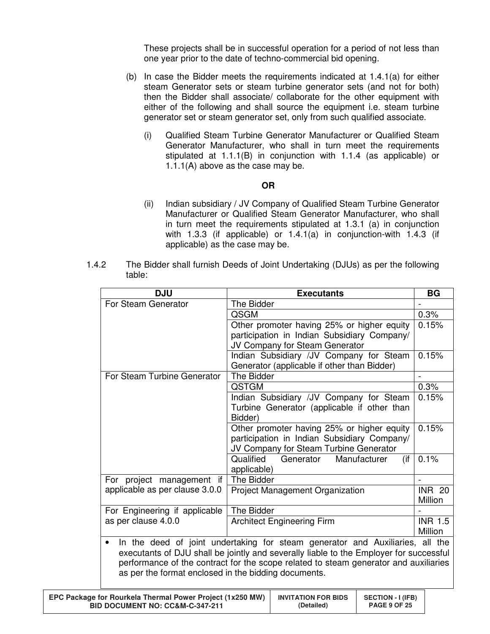These projects shall be in successful operation for a period of not less than one year prior to the date of techno-commercial bid opening.

- (b) In case the Bidder meets the requirements indicated at 1.4.1(a) for either steam Generator sets or steam turbine generator sets (and not for both) then the Bidder shall associate/ collaborate for the other equipment with either of the following and shall source the equipment i.e. steam turbine generator set or steam generator set, only from such qualified associate.
	- (i) Qualified Steam Turbine Generator Manufacturer or Qualified Steam Generator Manufacturer, who shall in turn meet the requirements stipulated at 1.1.1(B) in conjunction with 1.1.4 (as applicable) or 1.1.1(A) above as the case may be.

#### **OR**

- (ii) Indian subsidiary / JV Company of Qualified Steam Turbine Generator Manufacturer or Qualified Steam Generator Manufacturer, who shall in turn meet the requirements stipulated at 1.3.1 (a) in conjunction with 1.3.3 (if applicable) or 1.4.1(a) in conjunction-with 1.4.3 (if applicable) as the case may be.
- 1.4.2 The Bidder shall furnish Deeds of Joint Undertaking (DJUs) as per the following table:

| <b>DJU</b>                                           | <b>Executants</b>                                                                      | <b>BG</b>      |
|------------------------------------------------------|----------------------------------------------------------------------------------------|----------------|
| For Steam Generator                                  | The Bidder                                                                             |                |
|                                                      | QSGM                                                                                   | 0.3%           |
|                                                      | Other promoter having 25% or higher equity                                             | 0.15%          |
|                                                      | participation in Indian Subsidiary Company/                                            |                |
|                                                      | JV Company for Steam Generator                                                         |                |
|                                                      | Indian Subsidiary /JV Company for Steam                                                | 0.15%          |
|                                                      | Generator (applicable if other than Bidder)                                            |                |
| For Steam Turbine Generator                          | The Bidder                                                                             |                |
|                                                      | <b>QSTGM</b>                                                                           | 0.3%           |
|                                                      | Indian Subsidiary /JV Company for Steam                                                | 0.15%          |
|                                                      | Turbine Generator (applicable if other than                                            |                |
|                                                      | Bidder)                                                                                |                |
|                                                      | Other promoter having 25% or higher equity                                             | 0.15%          |
|                                                      | participation in Indian Subsidiary Company/                                            |                |
|                                                      | JV Company for Steam Turbine Generator                                                 |                |
|                                                      | Qualified<br>Generator<br>Manufacturer<br>(if                                          | 0.1%           |
|                                                      | applicable)                                                                            |                |
| For project management if                            | The Bidder                                                                             |                |
| applicable as per clause 3.0.0                       | Project Management Organization                                                        | <b>INR 20</b>  |
|                                                      |                                                                                        | Million        |
| For Engineering if applicable                        | The Bidder                                                                             |                |
| as per clause 4.0.0                                  | <b>Architect Engineering Firm</b>                                                      | <b>INR 1.5</b> |
|                                                      |                                                                                        | Million        |
| $\bullet$                                            | In the deed of joint undertaking for steam generator and Auxiliaries, all the          |                |
|                                                      | executants of DJU shall be jointly and severally liable to the Employer for successful |                |
|                                                      | performance of the contract for the scope related to steam generator and auxiliaries   |                |
| as per the format enclosed in the bidding documents. |                                                                                        |                |
|                                                      |                                                                                        |                |

| <b>EPC Package for Rourkela Thermal Power Project (1x250 MW)</b> | <b>INVITATION FOR BIDS</b> | <b>SECTION - I (IFB)</b> |
|------------------------------------------------------------------|----------------------------|--------------------------|
| BID DOCUMENT NO: CC&M-C-347-211                                  | (Detailed)                 | <b>PAGE 9 OF 25</b>      |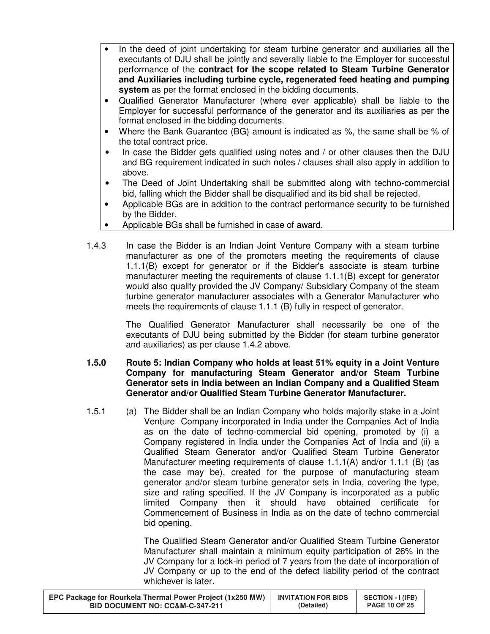- In the deed of joint undertaking for steam turbine generator and auxiliaries all the executants of DJU shall be jointly and severally liable to the Employer for successful performance of the **contract for the scope related to Steam Turbine Generator and Auxiliaries including turbine cycle, regenerated feed heating and pumping system** as per the format enclosed in the bidding documents.
- Qualified Generator Manufacturer (where ever applicable) shall be liable to the Employer for successful performance of the generator and its auxiliaries as per the format enclosed in the bidding documents.
- Where the Bank Guarantee (BG) amount is indicated as %, the same shall be % of the total contract price.
- In case the Bidder gets qualified using notes and / or other clauses then the DJU and BG requirement indicated in such notes / clauses shall also apply in addition to above.
- The Deed of Joint Undertaking shall be submitted along with techno-commercial bid, falling which the Bidder shall be disqualified and its bid shall be rejected.
- Applicable BGs are in addition to the contract performance security to be furnished by the Bidder.
- Applicable BGs shall be furnished in case of award.
- 1.4.3 In case the Bidder is an Indian Joint Venture Company with a steam turbine manufacturer as one of the promoters meeting the requirements of clause 1.1.1(B) except for generator or if the Bidder's associate is steam turbine manufacturer meeting the requirements of clause 1.1.1(B) except for generator would also qualify provided the JV Company/ Subsidiary Company of the steam turbine generator manufacturer associates with a Generator Manufacturer who meets the requirements of clause 1.1.1 (B) fully in respect of generator.

 The Qualified Generator Manufacturer shall necessarily be one of the executants of DJU being submitted by the Bidder (for steam turbine generator and auxiliaries) as per clause 1.4.2 above.

#### **1.5.0 Route 5: Indian Company who holds at least 51% equity in a Joint Venture Company for manufacturing Steam Generator and/or Steam Turbine Generator sets in India between an Indian Company and a Qualified Steam Generator and/or Qualified Steam Turbine Generator Manufacturer.**

1.5.1 (a) The Bidder shall be an Indian Company who holds majority stake in a Joint Venture Company incorporated in India under the Companies Act of India as on the date of techno-commercial bid opening, promoted by (i) a Company registered in India under the Companies Act of India and (ii) a Qualified Steam Generator and/or Qualified Steam Turbine Generator Manufacturer meeting requirements of clause 1.1.1(A) and/or 1.1.1 (B) (as the case may be), created for the purpose of manufacturing steam generator and/or steam turbine generator sets in India, covering the type, size and rating specified. If the JV Company is incorporated as a public limited Company then it should have obtained certificate for Commencement of Business in India as on the date of techno commercial bid opening.

> The Qualified Steam Generator and/or Qualified Steam Turbine Generator Manufacturer shall maintain a minimum equity participation of 26% in the JV Company for a lock-in period of 7 years from the date of incorporation of JV Company or up to the end of the defect liability period of the contract whichever is later.

| EPC Package for Rourkela Thermal Power Project (1x250 MW) | <b>INVITATION FOR BIDS</b> | SECTION - I (IFB)    |
|-----------------------------------------------------------|----------------------------|----------------------|
| <b>BID DOCUMENT NO: CC&amp;M-C-347-211</b>                | (Detailed)                 | <b>PAGE 10 OF 25</b> |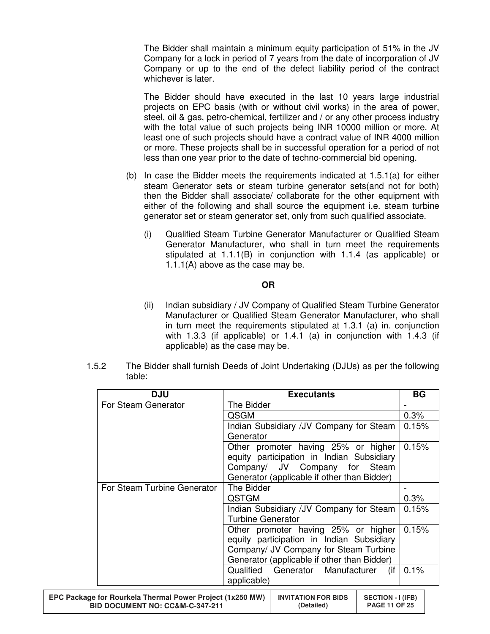The Bidder shall maintain a minimum equity participation of 51% in the JV Company for a lock in period of 7 years from the date of incorporation of JV Company or up to the end of the defect liability period of the contract whichever is later.

 The Bidder should have executed in the last 10 years large industrial projects on EPC basis (with or without civil works) in the area of power, steel, oil & gas, petro-chemical, fertilizer and / or any other process industry with the total value of such projects being INR 10000 million or more. At least one of such projects should have a contract value of INR 4000 million or more. These projects shall be in successful operation for a period of not less than one year prior to the date of techno-commercial bid opening.

- (b) In case the Bidder meets the requirements indicated at 1.5.1(a) for either steam Generator sets or steam turbine generator sets(and not for both) then the Bidder shall associate/ collaborate for the other equipment with either of the following and shall source the equipment i.e. steam turbine generator set or steam generator set, only from such qualified associate.
	- (i) Qualified Steam Turbine Generator Manufacturer or Qualified Steam Generator Manufacturer, who shall in turn meet the requirements stipulated at 1.1.1(B) in conjunction with 1.1.4 (as applicable) or 1.1.1(A) above as the case may be.

#### **OR**

- (ii) Indian subsidiary / JV Company of Qualified Steam Turbine Generator Manufacturer or Qualified Steam Generator Manufacturer, who shall in turn meet the requirements stipulated at 1.3.1 (a) in. conjunction with 1.3.3 (if applicable) or 1.4.1 (a) in conjunction with 1.4.3 (if applicable) as the case may be.
- 1.5.2 The Bidder shall furnish Deeds of Joint Undertaking (DJUs) as per the following table:

| <b>DJU</b>                                                                                              |                          | <b>Executants</b>                                                                |                                                  | <b>BG</b> |  |
|---------------------------------------------------------------------------------------------------------|--------------------------|----------------------------------------------------------------------------------|--------------------------------------------------|-----------|--|
| For Steam Generator                                                                                     | The Bidder               |                                                                                  |                                                  |           |  |
|                                                                                                         | QSGM                     |                                                                                  |                                                  | 0.3%      |  |
|                                                                                                         |                          | Indian Subsidiary / JV Company for Steam                                         |                                                  | 0.15%     |  |
|                                                                                                         | Generator                |                                                                                  |                                                  |           |  |
|                                                                                                         |                          | Other promoter having 25% or higher<br>equity participation in Indian Subsidiary |                                                  | 0.15%     |  |
|                                                                                                         |                          | Company/ JV Company for Steam                                                    |                                                  |           |  |
| For Steam Turbine Generator                                                                             | The Bidder               | Generator (applicable if other than Bidder)                                      |                                                  |           |  |
|                                                                                                         |                          |                                                                                  |                                                  |           |  |
|                                                                                                         | <b>QSTGM</b>             |                                                                                  |                                                  | 0.3%      |  |
|                                                                                                         |                          | Indian Subsidiary / JV Company for Steam                                         |                                                  | 0.15%     |  |
|                                                                                                         | <b>Turbine Generator</b> |                                                                                  |                                                  |           |  |
|                                                                                                         |                          | Other promoter having 25% or higher                                              |                                                  | 0.15%     |  |
|                                                                                                         |                          | equity participation in Indian Subsidiary                                        |                                                  |           |  |
|                                                                                                         |                          | Company/ JV Company for Steam Turbine                                            |                                                  |           |  |
|                                                                                                         |                          | Generator (applicable if other than Bidder)                                      |                                                  |           |  |
|                                                                                                         | Qualified                | Generator Manufacturer                                                           | (if                                              | 0.1%      |  |
|                                                                                                         | applicable)              |                                                                                  |                                                  |           |  |
| EPC Package for Rourkela Thermal Power Project (1x250 MW)<br><b>BID DOCUMENT NO: CC&amp;M-C-347-211</b> |                          | <b>INVITATION FOR BIDS</b><br>(Detailed)                                         | <b>SECTION - I (IFB)</b><br><b>PAGE 11 OF 25</b> |           |  |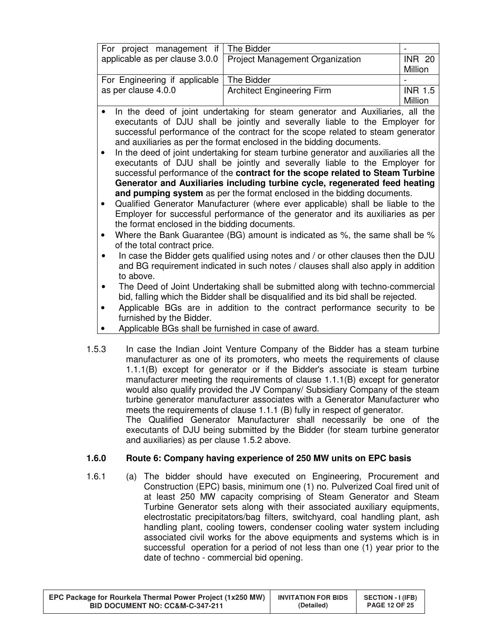| For project management if                                                                                                                                                                  | The Bidder                                                                                                                                                                                                                                                                                                                                                                                                                                                                                                                                                                                                                                                                                                                                                                                                                                                                                                                                                                                                                                                                                                                                                                                                                                                                                                                                                                                                                   |               |
|--------------------------------------------------------------------------------------------------------------------------------------------------------------------------------------------|------------------------------------------------------------------------------------------------------------------------------------------------------------------------------------------------------------------------------------------------------------------------------------------------------------------------------------------------------------------------------------------------------------------------------------------------------------------------------------------------------------------------------------------------------------------------------------------------------------------------------------------------------------------------------------------------------------------------------------------------------------------------------------------------------------------------------------------------------------------------------------------------------------------------------------------------------------------------------------------------------------------------------------------------------------------------------------------------------------------------------------------------------------------------------------------------------------------------------------------------------------------------------------------------------------------------------------------------------------------------------------------------------------------------------|---------------|
| applicable as per clause 3.0.0                                                                                                                                                             | Project Management Organization                                                                                                                                                                                                                                                                                                                                                                                                                                                                                                                                                                                                                                                                                                                                                                                                                                                                                                                                                                                                                                                                                                                                                                                                                                                                                                                                                                                              | <b>INR 20</b> |
|                                                                                                                                                                                            |                                                                                                                                                                                                                                                                                                                                                                                                                                                                                                                                                                                                                                                                                                                                                                                                                                                                                                                                                                                                                                                                                                                                                                                                                                                                                                                                                                                                                              | Million       |
| For Engineering if applicable                                                                                                                                                              | The Bidder                                                                                                                                                                                                                                                                                                                                                                                                                                                                                                                                                                                                                                                                                                                                                                                                                                                                                                                                                                                                                                                                                                                                                                                                                                                                                                                                                                                                                   |               |
| as per clause 4.0.0                                                                                                                                                                        | <b>Architect Engineering Firm</b>                                                                                                                                                                                                                                                                                                                                                                                                                                                                                                                                                                                                                                                                                                                                                                                                                                                                                                                                                                                                                                                                                                                                                                                                                                                                                                                                                                                            | $INR$ 1.5     |
|                                                                                                                                                                                            |                                                                                                                                                                                                                                                                                                                                                                                                                                                                                                                                                                                                                                                                                                                                                                                                                                                                                                                                                                                                                                                                                                                                                                                                                                                                                                                                                                                                                              | Million       |
| $\bullet$<br>the format enclosed in the bidding documents.<br>of the total contract price.<br>to above.<br>furnished by the Bidder.<br>Applicable BGs shall be furnished in case of award. | In the deed of joint undertaking for steam generator and Auxiliaries, all the<br>executants of DJU shall be jointly and severally liable to the Employer for<br>successful performance of the contract for the scope related to steam generator<br>and auxiliaries as per the format enclosed in the bidding documents.<br>In the deed of joint undertaking for steam turbine generator and auxiliaries all the<br>executants of DJU shall be jointly and severally liable to the Employer for<br>successful performance of the contract for the scope related to Steam Turbine<br>Generator and Auxiliaries including turbine cycle, regenerated feed heating<br>and pumping system as per the format enclosed in the bidding documents.<br>Qualified Generator Manufacturer (where ever applicable) shall be liable to the<br>Employer for successful performance of the generator and its auxiliaries as per<br>Where the Bank Guarantee (BG) amount is indicated as %, the same shall be %<br>In case the Bidder gets qualified using notes and / or other clauses then the DJU<br>and BG requirement indicated in such notes / clauses shall also apply in addition<br>The Deed of Joint Undertaking shall be submitted along with techno-commercial<br>bid, falling which the Bidder shall be disqualified and its bid shall be rejected.<br>Applicable BGs are in addition to the contract performance security to be |               |
|                                                                                                                                                                                            |                                                                                                                                                                                                                                                                                                                                                                                                                                                                                                                                                                                                                                                                                                                                                                                                                                                                                                                                                                                                                                                                                                                                                                                                                                                                                                                                                                                                                              |               |

1.5.3 In case the Indian Joint Venture Company of the Bidder has a steam turbine manufacturer as one of its promoters, who meets the requirements of clause 1.1.1(B) except for generator or if the Bidder's associate is steam turbine manufacturer meeting the requirements of clause 1.1.1(B) except for generator would also qualify provided the JV Company/ Subsidiary Company of the steam turbine generator manufacturer associates with a Generator Manufacturer who meets the requirements of clause 1.1.1 (B) fully in respect of generator. The Qualified Generator Manufacturer shall necessarily be one of the

executants of DJU being submitted by the Bidder (for steam turbine generator and auxiliaries) as per clause 1.5.2 above.

# **1.6.0 Route 6: Company having experience of 250 MW units on EPC basis**

1.6.1 (a) The bidder should have executed on Engineering, Procurement and Construction (EPC) basis, minimum one (1) no. Pulverized Coal fired unit of at least 250 MW capacity comprising of Steam Generator and Steam Turbine Generator sets along with their associated auxiliary equipments, electrostatic precipitators/bag filters, switchyard, coal handling plant, ash handling plant, cooling towers, condenser cooling water system including associated civil works for the above equipments and systems which is in successful operation for a period of not less than one (1) year prior to the date of techno - commercial bid opening.

| EPC Package for Rourkela Thermal Power Project (1x250 MW) | <b>INVITATION FOR BIDS</b> | SECTION - I (IFB)    |
|-----------------------------------------------------------|----------------------------|----------------------|
| <b>BID DOCUMENT NO: CC&amp;M-C-347-211</b>                | (Detailed)                 | <b>PAGE 12 OF 25</b> |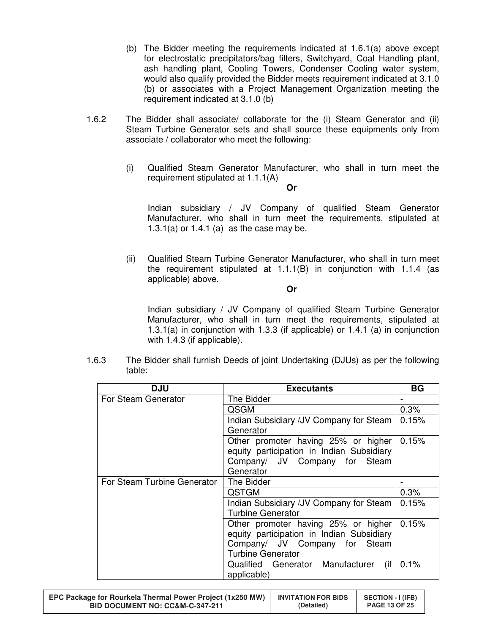- (b) The Bidder meeting the requirements indicated at 1.6.1(a) above except for electrostatic precipitators/bag filters, Switchyard, Coal Handling plant, ash handling plant, Cooling Towers, Condenser Cooling water system, would also qualify provided the Bidder meets requirement indicated at 3.1.0 (b) or associates with a Project Management Organization meeting the requirement indicated at 3.1.0 (b)
- 1.6.2 The Bidder shall associate/ collaborate for the (i) Steam Generator and (ii) Steam Turbine Generator sets and shall source these equipments only from associate / collaborator who meet the following:
	- (i) Qualified Steam Generator Manufacturer, who shall in turn meet the requirement stipulated at 1.1.1(A) **Or**

Indian subsidiary / JV Company of qualified Steam Generator Manufacturer, who shall in turn meet the requirements, stipulated at 1.3.1(a) or 1.4.1 (a) as the case may be.

(ii) Qualified Steam Turbine Generator Manufacturer, who shall in turn meet the requirement stipulated at 1.1.1(B) in conjunction with 1.1.4 (as applicable) above.

**Or** 

Indian subsidiary / JV Company of qualified Steam Turbine Generator Manufacturer, who shall in turn meet the requirements, stipulated at 1.3.1(a) in conjunction with 1.3.3 (if applicable) or 1.4.1 (a) in conjunction with 1.4.3 (if applicable).

| 1.6.3 | The Bidder shall furnish Deeds of joint Undertaking (DJUs) as per the following |
|-------|---------------------------------------------------------------------------------|
|       | table:                                                                          |

| <b>DJU</b>                  | <b>Executants</b>                                                                                                                             | <b>BG</b> |
|-----------------------------|-----------------------------------------------------------------------------------------------------------------------------------------------|-----------|
| For Steam Generator         | The Bidder                                                                                                                                    |           |
|                             | QSGM                                                                                                                                          | 0.3%      |
|                             | Indian Subsidiary /JV Company for Steam<br>Generator                                                                                          | 0.15%     |
|                             | Other promoter having 25% or higher<br>equity participation in Indian Subsidiary<br>Company/ JV Company for Steam<br>Generator                | 0.15%     |
| For Steam Turbine Generator | The Bidder                                                                                                                                    |           |
|                             | <b>QSTGM</b>                                                                                                                                  | 0.3%      |
|                             | Indian Subsidiary / JV Company for Steam<br><b>Turbine Generator</b>                                                                          | 0.15%     |
|                             | Other promoter having 25% or higher<br>equity participation in Indian Subsidiary<br>Company/ JV Company for Steam<br><b>Turbine Generator</b> | 0.15%     |
|                             | (if)<br>Qualified Generator Manufacturer<br>applicable)                                                                                       | 0.1%      |

| EPC Package for Rourkela Thermal Power Project (1x250 MW)<br><b>INVITATION FOR BIDS</b><br><b>BID DOCUMENT NO: CC&amp;M-C-347-211</b><br>(Detailed) |
|-----------------------------------------------------------------------------------------------------------------------------------------------------|
|-----------------------------------------------------------------------------------------------------------------------------------------------------|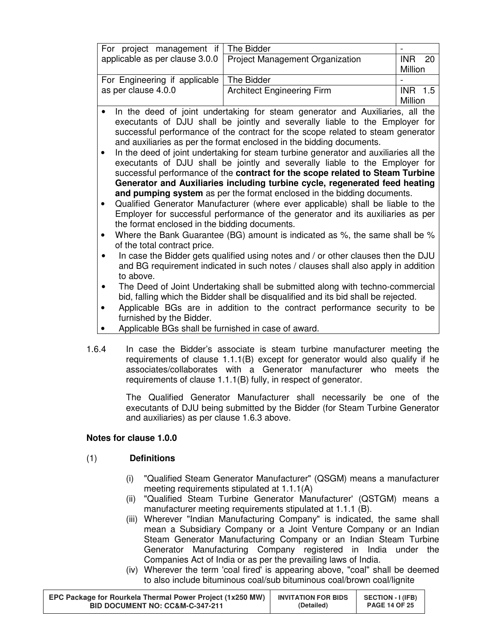| For project management if                     | The Bidder                                                                           | $\overline{a}$ |
|-----------------------------------------------|--------------------------------------------------------------------------------------|----------------|
| applicable as per clause 3.0.0                | Project Management Organization                                                      | <b>INR 20</b>  |
|                                               |                                                                                      | Million        |
| For Engineering if applicable                 | The Bidder                                                                           |                |
| as per clause 4.0.0                           | <b>Architect Engineering Firm</b>                                                    | INR 1.5        |
|                                               |                                                                                      | Million        |
|                                               | In the deed of joint undertaking for steam generator and Auxiliaries, all the        |                |
|                                               | executants of DJU shall be jointly and severally liable to the Employer for          |                |
|                                               | successful performance of the contract for the scope related to steam generator      |                |
|                                               | and auxiliaries as per the format enclosed in the bidding documents.                 |                |
|                                               | In the deed of joint undertaking for steam turbine generator and auxiliaries all the |                |
|                                               | executants of DJU shall be jointly and severally liable to the Employer for          |                |
|                                               | successful performance of the contract for the scope related to Steam Turbine        |                |
|                                               | Generator and Auxiliaries including turbine cycle, regenerated feed heating          |                |
|                                               | and pumping system as per the format enclosed in the bidding documents.              |                |
|                                               | Qualified Generator Manufacturer (where ever applicable) shall be liable to the      |                |
|                                               | Employer for successful performance of the generator and its auxiliaries as per      |                |
| the format enclosed in the bidding documents. |                                                                                      |                |
|                                               |                                                                                      |                |
|                                               | Where the Bank Guarantee (BG) amount is indicated as %, the same shall be %          |                |
| of the total contract price.                  |                                                                                      |                |
|                                               | In case the Bidder gets qualified using notes and / or other clauses then the DJU    |                |
|                                               | and BG requirement indicated in such notes / clauses shall also apply in addition    |                |
| to above.                                     |                                                                                      |                |
|                                               | The Deed of Joint Undertaking shall be submitted along with techno-commercial        |                |
|                                               | bid, falling which the Bidder shall be disqualified and its bid shall be rejected.   |                |
|                                               | Applicable BGs are in addition to the contract performance security to be            |                |
| furnished by the Bidder.                      |                                                                                      |                |

- Applicable BGs shall be furnished in case of award.
- 1.6.4 In case the Bidder's associate is steam turbine manufacturer meeting the requirements of clause 1.1.1(B) except for generator would also qualify if he associates/collaborates with a Generator manufacturer who meets the requirements of clause 1.1.1(B) fully, in respect of generator.

The Qualified Generator Manufacturer shall necessarily be one of the executants of DJU being submitted by the Bidder (for Steam Turbine Generator and auxiliaries) as per clause 1.6.3 above.

## **Notes for clause 1.0.0**

## (1) **Definitions**

- (i) "Qualified Steam Generator Manufacturer" (QSGM) means a manufacturer meeting requirements stipulated at 1.1.1(A)
- (ii) "Qualified Steam Turbine Generator Manufacturer' (QSTGM) means a manufacturer meeting requirements stipulated at 1.1.1 (B).
- (iii) Wherever "Indian Manufacturing Company" is indicated, the same shall mean a Subsidiary Company or a Joint Venture Company or an Indian Steam Generator Manufacturing Company or an Indian Steam Turbine Generator Manufacturing Company registered in India under the Companies Act of India or as per the prevailing laws of India.
- (iv) Wherever the term 'coal fired' is appearing above, "coal" shall be deemed to also include bituminous coal/sub bituminous coal/brown coal/lignite

| EPC Package for Rourkela Thermal Power Project (1x250 MW) | <b>INVITATION FOR BIDS</b> | <b>SECTION - I (IFB)</b> |
|-----------------------------------------------------------|----------------------------|--------------------------|
| <b>BID DOCUMENT NO: CC&amp;M-C-347-211</b>                | (Detailed)                 | <b>PAGE 14 OF 25</b>     |
|                                                           |                            |                          |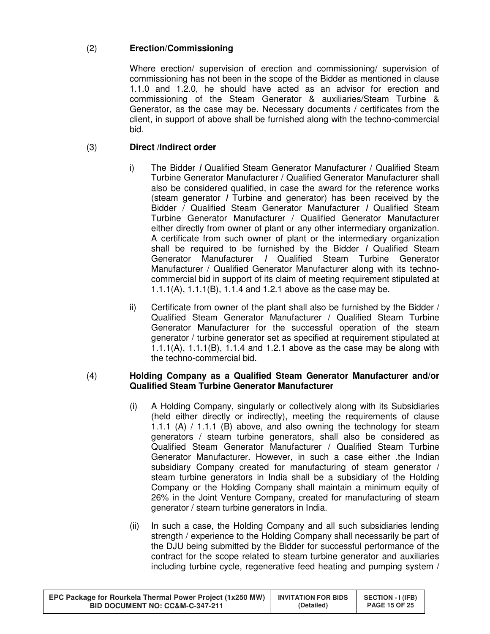# (2) **Erection/Commissioning**

Where erection/ supervision of erection and commissioning/ supervision of commissioning has not been in the scope of the Bidder as mentioned in clause 1.1.0 and 1.2.0, he should have acted as an advisor for erection and commissioning of the Steam Generator & auxiliaries/Steam Turbine & Generator, as the case may be. Necessary documents / certificates from the client, in support of above shall be furnished along with the techno-commercial bid.

# (3) **Direct /Indirect order**

- i) The Bidder I Qualified Steam Generator Manufacturer / Qualified Steam Turbine Generator Manufacturer / Qualified Generator Manufacturer shall also be considered qualified, in case the award for the reference works (steam generator I Turbine and generator) has been received by the Bidder / Qualified Steam Generator Manufacturer I Qualified Steam Turbine Generator Manufacturer / Qualified Generator Manufacturer either directly from owner of plant or any other intermediary organization. A certificate from such owner of plant or the intermediary organization shall be required to be furnished by the Bidder I Qualified Steam Generator Manufacturer I Qualified Steam Turbine Generator Manufacturer / Qualified Generator Manufacturer along with its technocommercial bid in support of its claim of meeting requirement stipulated at 1.1.1(A), 1.1.1(B), 1.1.4 and 1.2.1 above as the case may be.
- ii) Certificate from owner of the plant shall also be furnished by the Bidder / Qualified Steam Generator Manufacturer / Qualified Steam Turbine Generator Manufacturer for the successful operation of the steam generator / turbine generator set as specified at requirement stipulated at 1.1.1(A), 1.1.1(B), 1.1.4 and 1.2.1 above as the case may be along with the techno-commercial bid.

#### (4) **Holding Company as a Qualified Steam Generator Manufacturer and/or Qualified Steam Turbine Generator Manufacturer**

- (i) A Holding Company, singularly or collectively along with its Subsidiaries (held either directly or indirectly), meeting the requirements of clause 1.1.1 (A)  $/$  1.1.1 (B) above, and also owning the technology for steam generators / steam turbine generators, shall also be considered as Qualified Steam Generator Manufacturer / Qualified Steam Turbine Generator Manufacturer. However, in such a case either .the Indian subsidiary Company created for manufacturing of steam generator / steam turbine generators in India shall be a subsidiary of the Holding Company or the Holding Company shall maintain a minimum equity of 26% in the Joint Venture Company, created for manufacturing of steam generator / steam turbine generators in India.
- (ii) In such a case, the Holding Company and all such subsidiaries lending strength / experience to the Holding Company shall necessarily be part of the DJU being submitted by the Bidder for successful performance of the contract for the scope related to steam turbine generator and auxiliaries including turbine cycle, regenerative feed heating and pumping system /

| EPC Package for Rourkela Thermal Power Project (1x250 MW) | <b>INVITATION FOR BIDS</b> | SECTION - I (IFB)    |
|-----------------------------------------------------------|----------------------------|----------------------|
| BID DOCUMENT NO: CC&M-C-347-211                           | (Detailed)                 | <b>PAGE 15 OF 25</b> |
|                                                           |                            |                      |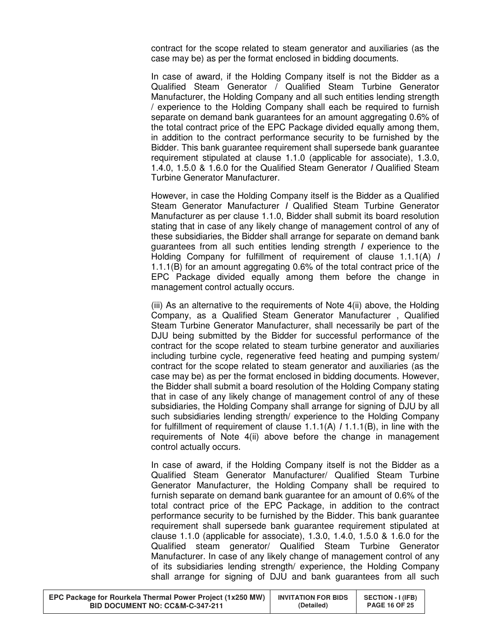contract for the scope related to steam generator and auxiliaries (as the case may be) as per the format enclosed in bidding documents.

In case of award, if the Holding Company itself is not the Bidder as a Qualified Steam Generator / Qualified Steam Turbine Generator Manufacturer, the Holding Company and all such entities lending strength / experience to the Holding Company shall each be required to furnish separate on demand bank guarantees for an amount aggregating 0.6% of the total contract price of the EPC Package divided equally among them, in addition to the contract performance security to be furnished by the Bidder. This bank guarantee requirement shall supersede bank guarantee requirement stipulated at clause 1.1.0 (applicable for associate), 1.3.0, 1.4.0, 1.5.0 & 1.6.0 for the Qualified Steam Generator I Qualified Steam Turbine Generator Manufacturer.

However, in case the Holding Company itself is the Bidder as a Qualified Steam Generator Manufacturer I Qualified Steam Turbine Generator Manufacturer as per clause 1.1.0, Bidder shall submit its board resolution stating that in case of any likely change of management control of any of these subsidiaries, the Bidder shall arrange for separate on demand bank guarantees from all such entities lending strength I experience to the Holding Company for fulfillment of requirement of clause 1.1.1(A) I 1.1.1(B) for an amount aggregating 0.6% of the total contract price of the EPC Package divided equally among them before the change in management control actually occurs.

(iii) As an alternative to the requirements of Note 4(ii) above, the Holding Company, as a Qualified Steam Generator Manufacturer , Qualified Steam Turbine Generator Manufacturer, shall necessarily be part of the DJU being submitted by the Bidder for successful performance of the contract for the scope related to steam turbine generator and auxiliaries including turbine cycle, regenerative feed heating and pumping system/ contract for the scope related to steam generator and auxiliaries (as the case may be) as per the format enclosed in bidding documents. However, the Bidder shall submit a board resolution of the Holding Company stating that in case of any likely change of management control of any of these subsidiaries, the Holding Company shall arrange for signing of DJU by all such subsidiaries lending strength/ experience to the Holding Company for fulfillment of requirement of clause  $1.1.1(A)$  /  $1.1.1(B)$ , in line with the requirements of Note 4(ii) above before the change in management control actually occurs.

In case of award, if the Holding Company itself is not the Bidder as a Qualified Steam Generator Manufacturer/ Qualified Steam Turbine Generator Manufacturer, the Holding Company shall be required to furnish separate on demand bank guarantee for an amount of 0.6% of the total contract price of the EPC Package, in addition to the contract performance security to be furnished by the Bidder. This bank guarantee requirement shall supersede bank guarantee requirement stipulated at clause 1.1.0 (applicable for associate), 1.3.0, 1.4.0, 1.5.0 & 1.6.0 for the Qualified steam generator/ Qualified Steam Turbine Generator Manufacturer. In case of any likely change of management control of any of its subsidiaries lending strength/ experience, the Holding Company shall arrange for signing of DJU and bank guarantees from all such

| EPC Package for Rourkela Thermal Power Project (1x250 MW) | <b>INVITATION FOR BIDS</b> | SECTION - I (IFB)    |
|-----------------------------------------------------------|----------------------------|----------------------|
| BID DOCUMENT NO: CC&M-C-347-211                           | (Detailed)                 | <b>PAGE 16 OF 25</b> |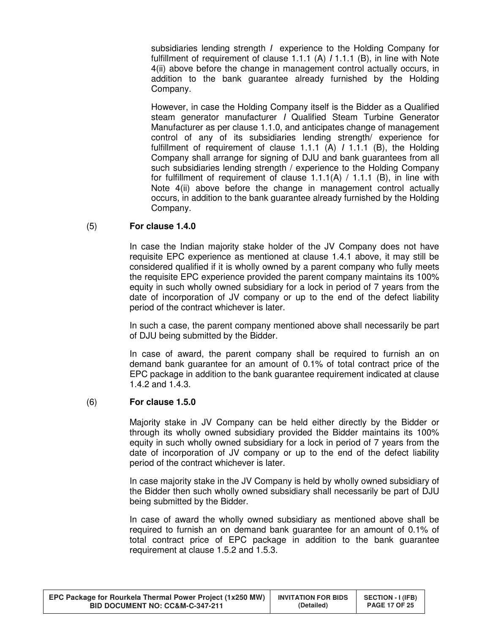subsidiaries lending strength *I* experience to the Holding Company for fulfillment of requirement of clause 1.1.1 (A)  $/$  1.1.1 (B), in line with Note 4(ii) above before the change in management control actually occurs, in addition to the bank guarantee already furnished by the Holding Company.

However, in case the Holding Company itself is the Bidder as a Qualified steam generator manufacturer I Qualified Steam Turbine Generator Manufacturer as per clause 1.1.0, and anticipates change of management control of any of its subsidiaries lending strength/ experience for fulfillment of requirement of clause 1.1.1 (A) I 1.1.1 (B), the Holding Company shall arrange for signing of DJU and bank guarantees from all such subsidiaries lending strength / experience to the Holding Company for fulfillment of requirement of clause  $1.1.1(A) / 1.1.1(B)$ , in line with Note 4(ii) above before the change in management control actually occurs, in addition to the bank guarantee already furnished by the Holding Company.

#### (5) **For clause 1.4.0**

In case the Indian majority stake holder of the JV Company does not have requisite EPC experience as mentioned at clause 1.4.1 above, it may still be considered qualified if it is wholly owned by a parent company who fully meets the requisite EPC experience provided the parent company maintains its 100% equity in such wholly owned subsidiary for a lock in period of 7 years from the date of incorporation of JV company or up to the end of the defect liability period of the contract whichever is later.

In such a case, the parent company mentioned above shall necessarily be part of DJU being submitted by the Bidder.

In case of award, the parent company shall be required to furnish an on demand bank guarantee for an amount of 0.1% of total contract price of the EPC package in addition to the bank guarantee requirement indicated at clause 1.4.2 and 1.4.3.

#### (6) **For clause 1.5.0**

Majority stake in JV Company can be held either directly by the Bidder or through its wholly owned subsidiary provided the Bidder maintains its 100% equity in such wholly owned subsidiary for a lock in period of 7 years from the date of incorporation of JV company or up to the end of the defect liability period of the contract whichever is later.

In case majority stake in the JV Company is held by wholly owned subsidiary of the Bidder then such wholly owned subsidiary shall necessarily be part of DJU being submitted by the Bidder.

In case of award the wholly owned subsidiary as mentioned above shall be required to furnish an on demand bank guarantee for an amount of 0.1% of total contract price of EPC package in addition to the bank guarantee requirement at clause 1.5.2 and 1.5.3.

| EPC Package for Rourkela Thermal Power Project (1x250 MW) | <b>INVITATION FOR BIDS</b> | <b>SECTION - I (IFB)</b> |
|-----------------------------------------------------------|----------------------------|--------------------------|
| <b>BID DOCUMENT NO: CC&amp;M-C-347-211</b>                | (Detailed)                 | <b>PAGE 17 OF 25</b>     |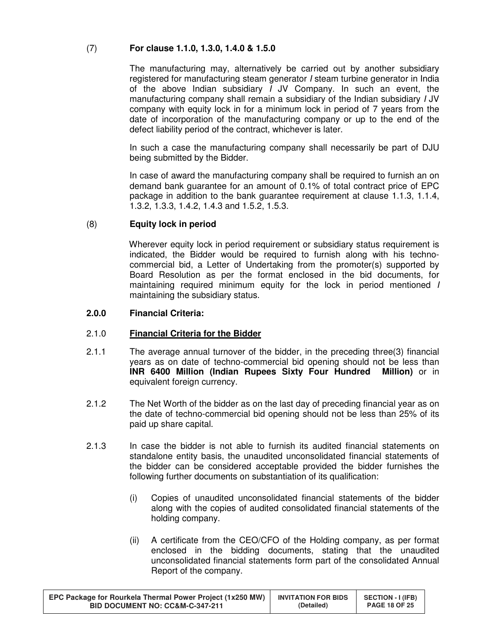# (7) **For clause 1.1.0, 1.3.0, 1.4.0 & 1.5.0**

The manufacturing may, alternatively be carried out by another subsidiary registered for manufacturing steam generator I steam turbine generator in India of the above Indian subsidiary I JV Company. In such an event, the manufacturing company shall remain a subsidiary of the Indian subsidiary I JV company with equity lock in for a minimum lock in period of 7 years from the date of incorporation of the manufacturing company or up to the end of the defect liability period of the contract, whichever is later.

In such a case the manufacturing company shall necessarily be part of DJU being submitted by the Bidder.

In case of award the manufacturing company shall be required to furnish an on demand bank guarantee for an amount of 0.1% of total contract price of EPC package in addition to the bank guarantee requirement at clause 1.1.3, 1.1.4, 1.3.2, 1.3.3, 1.4.2, 1.4.3 and 1.5.2, 1.5.3.

## (8) **Equity lock in period**

Wherever equity lock in period requirement or subsidiary status requirement is indicated, the Bidder would be required to furnish along with his technocommercial bid, a Letter of Undertaking from the promoter(s) supported by Board Resolution as per the format enclosed in the bid documents, for maintaining required minimum equity for the lock in period mentioned I maintaining the subsidiary status.

## **2.0.0 Financial Criteria:**

## 2.1.0 **Financial Criteria for the Bidder**

- 2.1.1 The average annual turnover of the bidder, in the preceding three(3) financial years as on date of techno-commercial bid opening should not be less than **INR 6400 Million (Indian Rupees Sixty Four Hundred Million)** or in equivalent foreign currency.
- 2.1.2 The Net Worth of the bidder as on the last day of preceding financial year as on the date of techno-commercial bid opening should not be less than 25% of its paid up share capital.
- 2.1.3 In case the bidder is not able to furnish its audited financial statements on standalone entity basis, the unaudited unconsolidated financial statements of the bidder can be considered acceptable provided the bidder furnishes the following further documents on substantiation of its qualification:
	- (i) Copies of unaudited unconsolidated financial statements of the bidder along with the copies of audited consolidated financial statements of the holding company.
	- (ii) A certificate from the CEO/CFO of the Holding company, as per format enclosed in the bidding documents, stating that the unaudited unconsolidated financial statements form part of the consolidated Annual Report of the company.

| EPC Package for Rourkela Thermal Power Project (1x250 MW) | <b>INVITATION FOR BIDS</b> | <b>SECTION - I (IFB)</b> |
|-----------------------------------------------------------|----------------------------|--------------------------|
| <b>BID DOCUMENT NO: CC&amp;M-C-347-211</b>                | (Detailed)                 | <b>PAGE 18 OF 25</b>     |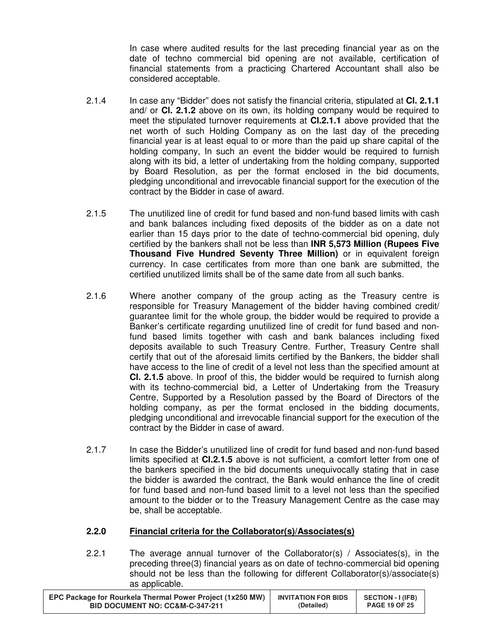In case where audited results for the last preceding financial year as on the date of techno commercial bid opening are not available, certification of financial statements from a practicing Chartered Accountant shall also be considered acceptable.

- 2.1.4 In case any "Bidder" does not satisfy the financial criteria, stipulated at **Cl. 2.1.1**  and/ or **Cl. 2.1.2** above on its own, its holding company would be required to meet the stipulated turnover requirements at **Cl.2.1.1** above provided that the net worth of such Holding Company as on the last day of the preceding financial year is at least equal to or more than the paid up share capital of the holding company, In such an event the bidder would be required to furnish along with its bid, a letter of undertaking from the holding company, supported by Board Resolution, as per the format enclosed in the bid documents, pledging unconditional and irrevocable financial support for the execution of the contract by the Bidder in case of award.
- 2.1.5 The unutilized line of credit for fund based and non-fund based limits with cash and bank balances including fixed deposits of the bidder as on a date not earlier than 15 days prior to the date of techno-commercial bid opening, duly certified by the bankers shall not be less than **INR 5,573 Million (Rupees Five Thousand Five Hundred Seventy Three Million)** or in equivalent foreign currency. In case certificates from more than one bank are submitted, the certified unutilized limits shall be of the same date from all such banks.
- 2.1.6 Where another company of the group acting as the Treasury centre is responsible for Treasury Management of the bidder having combined credit/ guarantee limit for the whole group, the bidder would be required to provide a Banker's certificate regarding unutilized line of credit for fund based and nonfund based limits together with cash and bank balances including fixed deposits available to such Treasury Centre. Further, Treasury Centre shall certify that out of the aforesaid limits certified by the Bankers, the bidder shall have access to the line of credit of a level not less than the specified amount at **Cl. 2.1.5** above. In proof of this, the bidder would be required to furnish along with its techno-commercial bid, a Letter of Undertaking from the Treasury Centre, Supported by a Resolution passed by the Board of Directors of the holding company, as per the format enclosed in the bidding documents, pledging unconditional and irrevocable financial support for the execution of the contract by the Bidder in case of award.
- 2.1.7 In case the Bidder's unutilized line of credit for fund based and non-fund based limits specified at **Cl.2.1.5** above is not sufficient, a comfort letter from one of the bankers specified in the bid documents unequivocally stating that in case the bidder is awarded the contract, the Bank would enhance the line of credit for fund based and non-fund based limit to a level not less than the specified amount to the bidder or to the Treasury Management Centre as the case may be, shall be acceptable.

## **2.2.0 Financial criteria for the Collaborator(s)/Associates(s)**

2.2.1 The average annual turnover of the Collaborator(s) / Associates(s), in the preceding three(3) financial years as on date of techno-commercial bid opening should not be less than the following for different Collaborator(s)/associate(s) as applicable.

| EPC Package for Rourkela Thermal Power Project (1x250 MW) | <b>INVITATION FOR BIDS</b> | <b>SECTION - I (IFB)</b> |
|-----------------------------------------------------------|----------------------------|--------------------------|
| <b>BID DOCUMENT NO: CC&amp;M-C-347-211</b>                | (Detailed)                 | <b>PAGE 19 OF 25</b>     |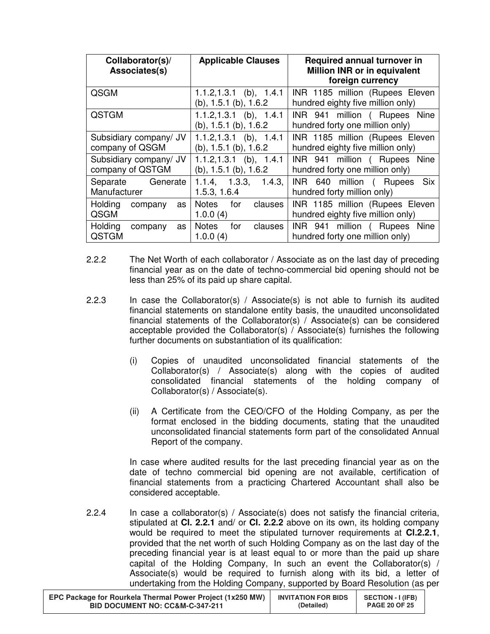| Collaborator(s)/<br>Associates(s)          | <b>Applicable Clauses</b>                                  | <b>Required annual turnover in</b><br>Million INR or in equivalent<br>foreign currency |
|--------------------------------------------|------------------------------------------------------------|----------------------------------------------------------------------------------------|
| QSGM                                       | $1.1.2, 1.3.1$ (b), $1.4.1$<br>$(b)$ , 1.5.1 $(b)$ , 1.6.2 | INR 1185 million (Rupees Eleven<br>hundred eighty five million only)                   |
| <b>QSTGM</b>                               | $1.1.2, 1.3.1$ (b), $1.4.1$<br>$(b)$ , 1.5.1 $(b)$ , 1.6.2 | INR 941 million ( Rupees Nine<br>hundred forty one million only)                       |
| Subsidiary company/ JV<br>company of QSGM  | $1.1.2, 1.3.1$ (b), $1.4.1$<br>$(b)$ , 1.5.1 $(b)$ , 1.6.2 | INR 1185 million (Rupees Eleven<br>hundred eighty five million only)                   |
| Subsidiary company/ JV<br>company of QSTGM | $1.1.2, 1.3.1$ (b), $1.4.1$<br>$(b)$ , 1.5.1 $(b)$ , 1.6.2 | INR 941 million ( Rupees Nine<br>hundred forty one million only)                       |
| Generate<br>Separate<br>Manufacturer       | 1.3.3.<br>1.4.3.<br>1.1.4<br>1.5.3, 1.6.4                  | INR 640 million ( Rupees Six<br>hundred forty million only)                            |
| Holding<br>company<br>as<br>QSGM           | Notes<br>for<br>clauses<br>1.0.0(4)                        | INR 1185 million (Rupees Eleven<br>hundred eighty five million only)                   |
| Holding<br>company<br>as<br>QSTGM          | <b>Notes</b><br>for<br>clauses<br>1.0.0(4)                 | INR 941 million (Rupees<br><b>Nine</b><br>hundred forty one million only)              |

- 2.2.2 The Net Worth of each collaborator / Associate as on the last day of preceding financial year as on the date of techno-commercial bid opening should not be less than 25% of its paid up share capital.
- 2.2.3 In case the Collaborator(s) / Associate(s) is not able to furnish its audited financial statements on standalone entity basis, the unaudited unconsolidated financial statements of the Collaborator(s) / Associate(s) can be considered acceptable provided the Collaborator(s) / Associate(s) furnishes the following further documents on substantiation of its qualification:
	- (i) Copies of unaudited unconsolidated financial statements of the Collaborator(s) / Associate(s) along with the copies of audited consolidated financial statements of the holding company of Collaborator(s) / Associate(s).
	- (ii) A Certificate from the CEO/CFO of the Holding Company, as per the format enclosed in the bidding documents, stating that the unaudited unconsolidated financial statements form part of the consolidated Annual Report of the company.

In case where audited results for the last preceding financial year as on the date of techno commercial bid opening are not available, certification of financial statements from a practicing Chartered Accountant shall also be considered acceptable.

2.2.4 In case a collaborator(s) / Associate(s) does not satisfy the financial criteria, stipulated at **Cl. 2.2.1** and/ or **Cl. 2.2.2** above on its own, its holding company would be required to meet the stipulated turnover requirements at **Cl.2.2.1**, provided that the net worth of such Holding Company as on the last day of the preceding financial year is at least equal to or more than the paid up share capital of the Holding Company, In such an event the Collaborator(s) / Associate(s) would be required to furnish along with its bid, a letter of undertaking from the Holding Company, supported by Board Resolution (as per

| EPC Package for Rourkela Thermal Power Project (1x250 MW) | <b>INVITATION FOR BIDS</b> | <b>SECTION - I (IFB)</b> |
|-----------------------------------------------------------|----------------------------|--------------------------|
| <b>BID DOCUMENT NO: CC&amp;M-C-347-211</b>                | (Detailed)                 | <b>PAGE 20 OF 25</b>     |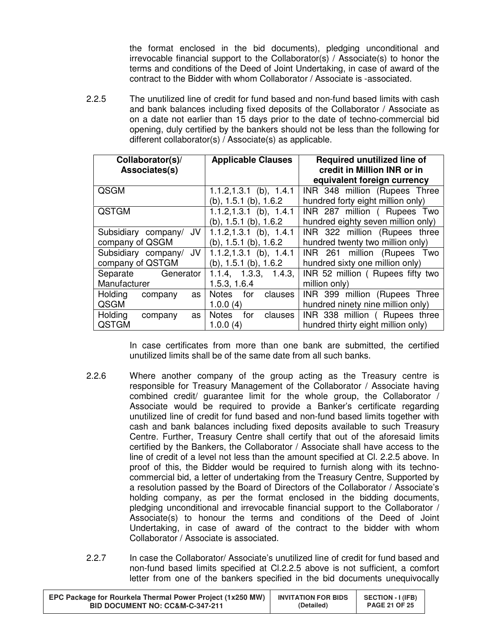the format enclosed in the bid documents), pledging unconditional and irrevocable financial support to the Collaborator(s) / Associate(s) to honor the terms and conditions of the Deed of Joint Undertaking, in case of award of the contract to the Bidder with whom Collaborator / Associate is -associated.

2.2.5 The unutilized line of credit for fund based and non-fund based limits with cash and bank balances including fixed deposits of the Collaborator / Associate as on a date not earlier than 15 days prior to the date of techno-commercial bid opening, duly certified by the bankers should not be less than the following for different collaborator(s) / Associate(s) as applicable.

| Collaborator(s)/<br>Associates(s) | <b>Applicable Clauses</b>      | <b>Required unutilized line of</b><br>credit in Million INR or in |  |
|-----------------------------------|--------------------------------|-------------------------------------------------------------------|--|
|                                   |                                | equivalent foreign currency                                       |  |
| QSGM                              | $1.1.2, 1.3.1$ (b), $1.4.1$    | INR 348 million (Rupees Three                                     |  |
|                                   | $(b)$ , 1.5.1 $(b)$ , 1.6.2    | hundred forty eight million only)                                 |  |
| <b>QSTGM</b>                      | $1.1.2, 1.3.1$ (b), $1.4.1$    | INR 287 million ( Rupees Two                                      |  |
|                                   | $(b)$ , 1.5.1 $(b)$ , 1.6.2    | hundred eighty seven million only)                                |  |
| Subsidiary company/ JV            | $1.1.2, 1.3.1$ (b), $1.4.1$    | INR 322 million (Rupees three                                     |  |
| company of QSGM                   | $(b)$ , 1.5.1 $(b)$ , 1.6.2    | hundred twenty two million only)                                  |  |
| Subsidiary company/ JV            | $1.1.2, 1.3.1$ (b), $1.4.1$    | INR 261 million (Rupees<br>Two                                    |  |
| company of QSTGM                  | $(b)$ , 1.5.1 $(b)$ , 1.6.2    | hundred sixty one million only)                                   |  |
| Generator<br>Separate             | 1.1.4, 1.3.3, 1.4.3,           | INR 52 million (Rupees fifty two                                  |  |
| Manufacturer                      | 1.5.3, 1.6.4                   | million only)                                                     |  |
| Holding<br>company<br>as          | for<br><b>Notes</b><br>clauses | INR 399 million (Rupees Three                                     |  |
| QSGM                              | 1.0.0(4)                       | hundred ninety nine million only)                                 |  |
| Holding<br>company<br>as          | <b>Notes</b><br>for<br>clauses | INR 338 million ( Rupees three                                    |  |
| <b>QSTGM</b>                      | 1.0.0(4)                       | hundred thirty eight million only)                                |  |

In case certificates from more than one bank are submitted, the certified unutilized limits shall be of the same date from all such banks.

- 2.2.6 Where another company of the group acting as the Treasury centre is responsible for Treasury Management of the Collaborator / Associate having combined credit/ guarantee limit for the whole group, the Collaborator / Associate would be required to provide a Banker's certificate regarding unutilized line of credit for fund based and non-fund based limits together with cash and bank balances including fixed deposits available to such Treasury Centre. Further, Treasury Centre shall certify that out of the aforesaid limits certified by the Bankers, the Collaborator / Associate shall have access to the line of credit of a level not less than the amount specified at Cl. 2.2.5 above. In proof of this, the Bidder would be required to furnish along with its technocommercial bid, a letter of undertaking from the Treasury Centre, Supported by a resolution passed by the Board of Directors of the Collaborator / Associate's holding company, as per the format enclosed in the bidding documents, pledging unconditional and irrevocable financial support to the Collaborator / Associate(s) to honour the terms and conditions of the Deed of Joint Undertaking, in case of award of the contract to the bidder with whom Collaborator / Associate is associated.
- 2.2.7 In case the Collaborator/ Associate's unutilized line of credit for fund based and non-fund based limits specified at Cl.2.2.5 above is not sufficient, a comfort letter from one of the bankers specified in the bid documents unequivocally

| EPC Package for Rourkela Thermal Power Project (1x250 MW) | <b>INVITATION FOR BIDS</b> | <b>SECTION - I (IFB)</b> |
|-----------------------------------------------------------|----------------------------|--------------------------|
| BID DOCUMENT NO: CC&M-C-347-211                           | (Detailed)                 | <b>PAGE 21 OF 25</b>     |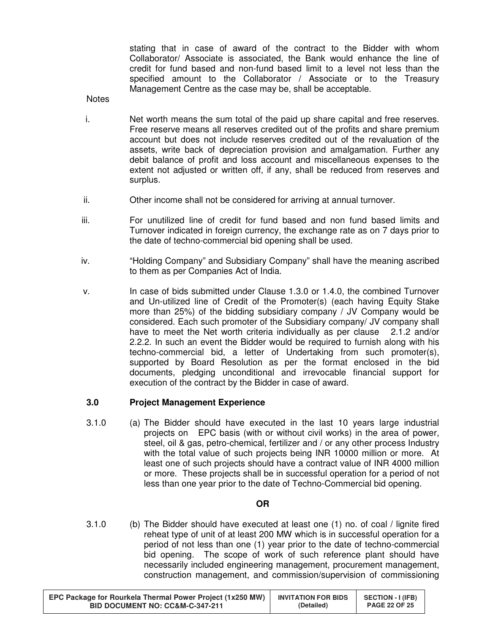stating that in case of award of the contract to the Bidder with whom Collaborator/ Associate is associated, the Bank would enhance the line of credit for fund based and non-fund based limit to a level not less than the specified amount to the Collaborator / Associate or to the Treasury Management Centre as the case may be, shall be acceptable.

#### **Notes**

- i. Net worth means the sum total of the paid up share capital and free reserves. Free reserve means all reserves credited out of the profits and share premium account but does not include reserves credited out of the revaluation of the assets, write back of depreciation provision and amalgamation. Further any debit balance of profit and loss account and miscellaneous expenses to the extent not adjusted or written off, if any, shall be reduced from reserves and surplus.
- ii. Other income shall not be considered for arriving at annual turnover.
- iii. For unutilized line of credit for fund based and non fund based limits and Turnover indicated in foreign currency, the exchange rate as on 7 days prior to the date of techno-commercial bid opening shall be used.
- iv. "Holding Company" and Subsidiary Company" shall have the meaning ascribed to them as per Companies Act of India.
- v. In case of bids submitted under Clause 1.3.0 or 1.4.0, the combined Turnover and Un-utilized line of Credit of the Promoter(s) (each having Equity Stake more than 25%) of the bidding subsidiary company / JV Company would be considered. Each such promoter of the Subsidiary company/ JV company shall have to meet the Net worth criteria individually as per clause 2.1.2 and/or 2.2.2. In such an event the Bidder would be required to furnish along with his techno-commercial bid, a letter of Undertaking from such promoter(s), supported by Board Resolution as per the format enclosed in the bid documents, pledging unconditional and irrevocable financial support for execution of the contract by the Bidder in case of award.

#### **3.0 Project Management Experience**

3.1.0 (a) The Bidder should have executed in the last 10 years large industrial projects on EPC basis (with or without civil works) in the area of power, steel, oil & gas, petro-chemical, fertilizer and / or any other process Industry with the total value of such projects being INR 10000 million or more. At least one of such projects should have a contract value of INR 4000 million or more. These projects shall be in successful operation for a period of not less than one year prior to the date of Techno-Commercial bid opening.

#### **OR**

3.1.0 (b) The Bidder should have executed at least one (1) no. of coal / lignite fired reheat type of unit of at least 200 MW which is in successful operation for a period of not less than one (1) year prior to the date of techno-commercial bid opening. The scope of work of such reference plant should have necessarily included engineering management, procurement management, construction management, and commission/supervision of commissioning

| EPC Package for Rourkela Thermal Power Project (1x250 MW) | <b>INVITATION FOR BIDS</b> | <b>SECTION - I (IFB)</b> |
|-----------------------------------------------------------|----------------------------|--------------------------|
| <b>BID DOCUMENT NO: CC&amp;M-C-347-211</b>                | (Detailed)                 | <b>PAGE 22 OF 25</b>     |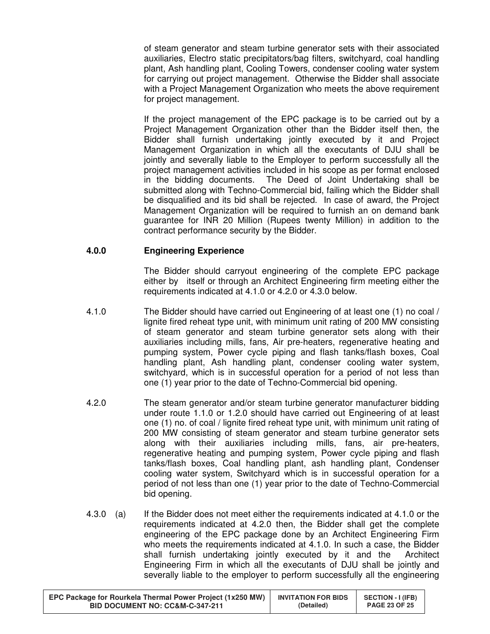of steam generator and steam turbine generator sets with their associated auxiliaries, Electro static precipitators/bag filters, switchyard, coal handling plant, Ash handling plant, Cooling Towers, condenser cooling water system for carrying out project management. Otherwise the Bidder shall associate with a Project Management Organization who meets the above requirement for project management.

 If the project management of the EPC package is to be carried out by a Project Management Organization other than the Bidder itself then, the Bidder shall furnish undertaking jointly executed by it and Project Management Organization in which all the executants of DJU shall be jointly and severally liable to the Employer to perform successfully all the project management activities included in his scope as per format enclosed in the bidding documents. The Deed of Joint Undertaking shall be submitted along with Techno-Commercial bid, failing which the Bidder shall be disqualified and its bid shall be rejected. In case of award, the Project Management Organization will be required to furnish an on demand bank guarantee for INR 20 Million (Rupees twenty Million) in addition to the contract performance security by the Bidder.

# **4.0.0 Engineering Experience**

The Bidder should carryout engineering of the complete EPC package either by itself or through an Architect Engineering firm meeting either the requirements indicated at 4.1.0 or 4.2.0 or 4.3.0 below.

- 4.1.0 The Bidder should have carried out Engineering of at least one (1) no coal / lignite fired reheat type unit, with minimum unit rating of 200 MW consisting of steam generator and steam turbine generator sets along with their auxiliaries including mills, fans, Air pre-heaters, regenerative heating and pumping system, Power cycle piping and flash tanks/flash boxes, Coal handling plant, Ash handling plant, condenser cooling water system, switchyard, which is in successful operation for a period of not less than one (1) year prior to the date of Techno-Commercial bid opening.
- 4.2.0 The steam generator and/or steam turbine generator manufacturer bidding under route 1.1.0 or 1.2.0 should have carried out Engineering of at least one (1) no. of coal / lignite fired reheat type unit, with minimum unit rating of 200 MW consisting of steam generator and steam turbine generator sets along with their auxiliaries including mills, fans, air pre-heaters, regenerative heating and pumping system, Power cycle piping and flash tanks/flash boxes, Coal handling plant, ash handling plant, Condenser cooling water system, Switchyard which is in successful operation for a period of not less than one (1) year prior to the date of Techno-Commercial bid opening.
- 4.3.0 (a) If the Bidder does not meet either the requirements indicated at 4.1.0 or the requirements indicated at 4.2.0 then, the Bidder shall get the complete engineering of the EPC package done by an Architect Engineering Firm who meets the requirements indicated at 4.1.0. In such a case, the Bidder shall furnish undertaking jointly executed by it and the Architect Engineering Firm in which all the executants of DJU shall be jointly and severally liable to the employer to perform successfully all the engineering

| EPC Package for Rourkela Thermal Power Project (1x250 MW) | <b>INVITATION FOR BIDS</b> | <b>SECTION - I (IFB)</b> |
|-----------------------------------------------------------|----------------------------|--------------------------|
| BID DOCUMENT NO: CC&M-C-347-211                           | (Detailed)                 | <b>PAGE 23 OF 25</b>     |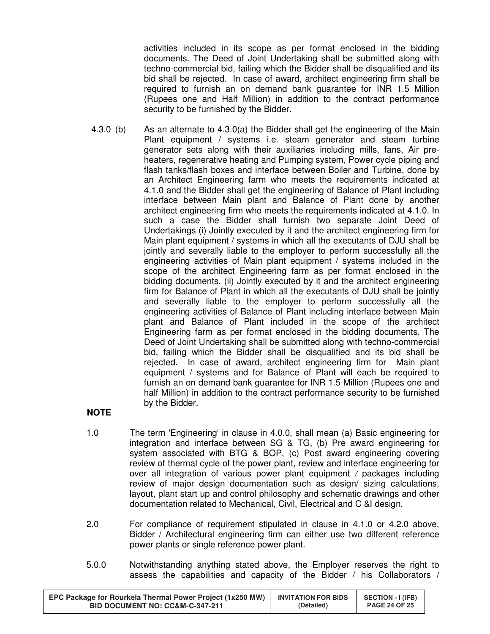activities included in its scope as per format enclosed in the bidding documents. The Deed of Joint Undertaking shall be submitted along with techno-commercial bid, failing which the Bidder shall be disqualified and its bid shall be rejected. In case of award, architect engineering firm shall be required to furnish an on demand bank guarantee for INR 1.5 Million (Rupees one and Half Million) in addition to the contract performance security to be furnished by the Bidder.

 4.3.0 (b) As an alternate to 4.3.0(a) the Bidder shall get the engineering of the Main Plant equipment / systems i.e. steam generator and steam turbine generator sets along with their auxiliaries including mills, fans, Air preheaters, regenerative heating and Pumping system, Power cycle piping and flash tanks/flash boxes and interface between Boiler and Turbine, done by an Architect Engineering farm who meets the requirements indicated at 4.1.0 and the Bidder shall get the engineering of Balance of Plant including interface between Main plant and Balance of Plant done by another architect engineering firm who meets the requirements indicated at 4.1.0. In such a case the Bidder shall furnish two separate Joint Deed of Undertakings (i) Jointly executed by it and the architect engineering firm for Main plant equipment / systems in which all the executants of DJU shall be jointly and severally liable to the employer to perform successfully all the engineering activities of Main plant equipment / systems included in the scope of the architect Engineering farm as per format enclosed in the bidding documents. (ii) Jointly executed by it and the architect engineering firm for Balance of Plant in which all the executants of DJU shall be jointly and severally liable to the employer to perform successfully all the engineering activities of Balance of Plant including interface between Main plant and Balance of Plant included in the scope of the architect Engineering farm as per format enclosed in the bidding documents. The Deed of Joint Undertaking shall be submitted along with techno-commercial bid, failing which the Bidder shall be disqualified and its bid shall be rejected. In case of award, architect engineering firm for Main plant equipment / systems and for Balance of Plant will each be required to furnish an on demand bank guarantee for INR 1.5 Million (Rupees one and half Million) in addition to the contract performance security to be furnished by the Bidder.

# **NOTE**

- 1.0 The term 'Engineering' in clause in 4.0.0, shall mean (a) Basic engineering for integration and interface between SG & TG, (b) Pre award engineering for system associated with BTG & BOP, (c) Post award engineering covering review of thermal cycle of the power plant, review and interface engineering for over all integration of various power plant equipment / packages including review of major design documentation such as design/ sizing calculations, layout, plant start up and control philosophy and schematic drawings and other documentation related to Mechanical, Civil, Electrical and C &I design.
- 2.0 For compliance of requirement stipulated in clause in 4.1.0 or 4.2.0 above, Bidder / Architectural engineering firm can either use two different reference power plants or single reference power plant.
- 5.0.0 Notwithstanding anything stated above, the Employer reserves the right to assess the capabilities and capacity of the Bidder / his Collaborators /

| EPC Package for Rourkela Thermal Power Project (1x250 MW) | <b>INVITATION FOR BIDS</b> | <b>SECTION - I (IFB)</b> |
|-----------------------------------------------------------|----------------------------|--------------------------|
| <b>BID DOCUMENT NO: CC&amp;M-C-347-211</b>                | (Detailed)                 | <b>PAGE 24 OF 25</b>     |